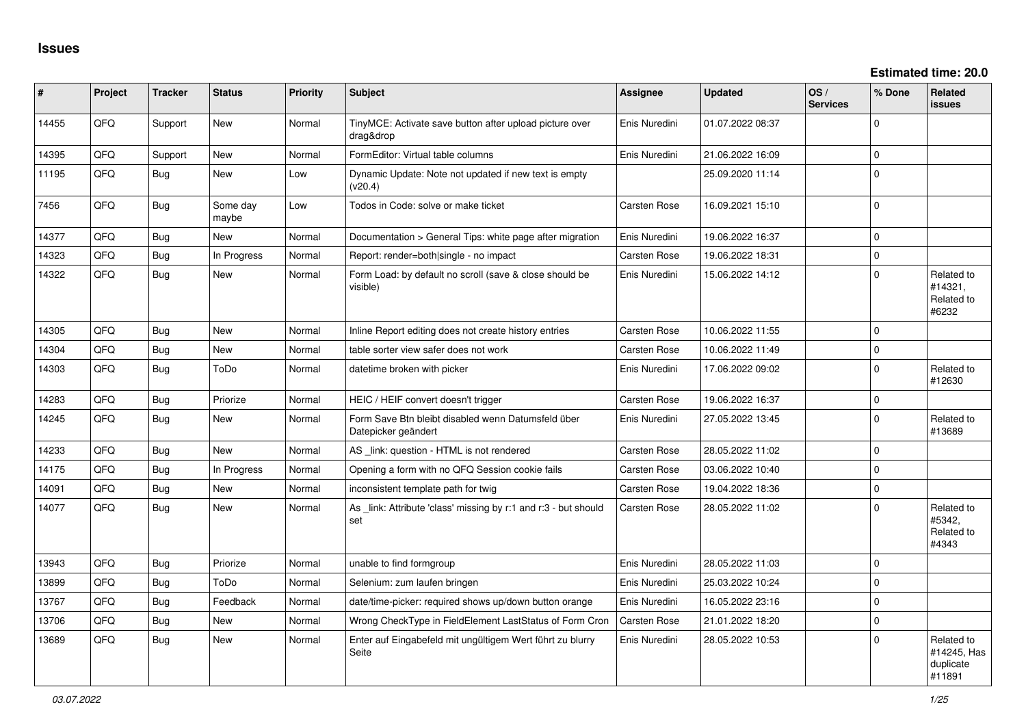| #     | Project | <b>Tracker</b> | <b>Status</b>     | Priority | <b>Subject</b>                                                            | Assignee      | <b>Updated</b>   | OS/<br><b>Services</b> | % Done   | Related<br><b>issues</b>                         |
|-------|---------|----------------|-------------------|----------|---------------------------------------------------------------------------|---------------|------------------|------------------------|----------|--------------------------------------------------|
| 14455 | QFQ     | Support        | New               | Normal   | TinyMCE: Activate save button after upload picture over<br>drag&drop      | Enis Nuredini | 01.07.2022 08:37 |                        | $\Omega$ |                                                  |
| 14395 | QFQ     | Support        | <b>New</b>        | Normal   | FormEditor: Virtual table columns                                         | Enis Nuredini | 21.06.2022 16:09 |                        | $\Omega$ |                                                  |
| 11195 | QFQ     | Bug            | <b>New</b>        | Low      | Dynamic Update: Note not updated if new text is empty<br>(v20.4)          |               | 25.09.2020 11:14 |                        | $\Omega$ |                                                  |
| 7456  | QFQ     | <b>Bug</b>     | Some day<br>maybe | Low      | Todos in Code: solve or make ticket                                       | Carsten Rose  | 16.09.2021 15:10 |                        | $\Omega$ |                                                  |
| 14377 | QFQ     | <b>Bug</b>     | <b>New</b>        | Normal   | Documentation > General Tips: white page after migration                  | Enis Nuredini | 19.06.2022 16:37 |                        | $\Omega$ |                                                  |
| 14323 | QFQ     | Bug            | In Progress       | Normal   | Report: render=both single - no impact                                    | Carsten Rose  | 19.06.2022 18:31 |                        | $\Omega$ |                                                  |
| 14322 | QFQ     | Bug            | <b>New</b>        | Normal   | Form Load: by default no scroll (save & close should be<br>visible)       | Enis Nuredini | 15.06.2022 14:12 |                        | $\Omega$ | Related to<br>#14321,<br>Related to<br>#6232     |
| 14305 | QFQ     | Bug            | <b>New</b>        | Normal   | Inline Report editing does not create history entries                     | Carsten Rose  | 10.06.2022 11:55 |                        | $\Omega$ |                                                  |
| 14304 | QFQ     | <b>Bug</b>     | New               | Normal   | table sorter view safer does not work                                     | Carsten Rose  | 10.06.2022 11:49 |                        | $\Omega$ |                                                  |
| 14303 | QFQ     | Bug            | ToDo              | Normal   | datetime broken with picker                                               | Enis Nuredini | 17.06.2022 09:02 |                        | $\Omega$ | Related to<br>#12630                             |
| 14283 | QFQ     | <b>Bug</b>     | Priorize          | Normal   | HEIC / HEIF convert doesn't trigger                                       | Carsten Rose  | 19.06.2022 16:37 |                        | $\Omega$ |                                                  |
| 14245 | QFQ     | Bug            | <b>New</b>        | Normal   | Form Save Btn bleibt disabled wenn Datumsfeld über<br>Datepicker geändert | Enis Nuredini | 27.05.2022 13:45 |                        | $\Omega$ | Related to<br>#13689                             |
| 14233 | QFQ     | Bug            | <b>New</b>        | Normal   | AS link: question - HTML is not rendered                                  | Carsten Rose  | 28.05.2022 11:02 |                        | $\Omega$ |                                                  |
| 14175 | QFQ     | Bug            | In Progress       | Normal   | Opening a form with no QFQ Session cookie fails                           | Carsten Rose  | 03.06.2022 10:40 |                        | $\Omega$ |                                                  |
| 14091 | QFQ     | Bug            | <b>New</b>        | Normal   | inconsistent template path for twig                                       | Carsten Rose  | 19.04.2022 18:36 |                        | $\Omega$ |                                                  |
| 14077 | QFQ     | <b>Bug</b>     | <b>New</b>        | Normal   | As _link: Attribute 'class' missing by r:1 and r:3 - but should<br>set    | Carsten Rose  | 28.05.2022 11:02 |                        | $\Omega$ | Related to<br>#5342.<br>Related to<br>#4343      |
| 13943 | QFQ     | Bug            | Priorize          | Normal   | unable to find formgroup                                                  | Enis Nuredini | 28.05.2022 11:03 |                        | $\Omega$ |                                                  |
| 13899 | QFQ     | <b>Bug</b>     | ToDo              | Normal   | Selenium: zum laufen bringen                                              | Enis Nuredini | 25.03.2022 10:24 |                        | $\Omega$ |                                                  |
| 13767 | QFQ     | Bug            | Feedback          | Normal   | date/time-picker: required shows up/down button orange                    | Enis Nuredini | 16.05.2022 23:16 |                        | $\Omega$ |                                                  |
| 13706 | QFQ     | Bug            | <b>New</b>        | Normal   | Wrong CheckType in FieldElement LastStatus of Form Cron                   | Carsten Rose  | 21.01.2022 18:20 |                        | $\Omega$ |                                                  |
| 13689 | QFQ     | Bug            | <b>New</b>        | Normal   | Enter auf Eingabefeld mit ungültigem Wert führt zu blurry<br>Seite        | Enis Nuredini | 28.05.2022 10:53 |                        | $\Omega$ | Related to<br>#14245, Has<br>duplicate<br>#11891 |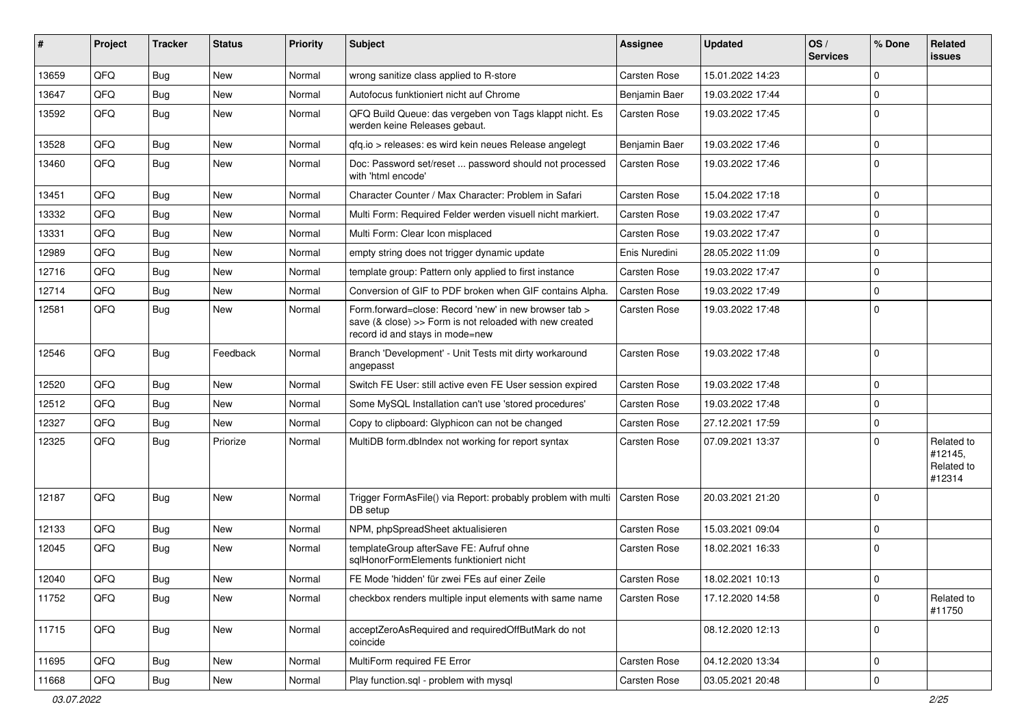| #     | Project | <b>Tracker</b> | <b>Status</b> | <b>Priority</b> | Subject                                                                                                                                             | <b>Assignee</b>     | <b>Updated</b>   | OS/<br><b>Services</b> | % Done      | Related<br>issues                             |
|-------|---------|----------------|---------------|-----------------|-----------------------------------------------------------------------------------------------------------------------------------------------------|---------------------|------------------|------------------------|-------------|-----------------------------------------------|
| 13659 | QFQ     | Bug            | <b>New</b>    | Normal          | wrong sanitize class applied to R-store                                                                                                             | <b>Carsten Rose</b> | 15.01.2022 14:23 |                        | $\Omega$    |                                               |
| 13647 | QFQ     | <b>Bug</b>     | New           | Normal          | Autofocus funktioniert nicht auf Chrome                                                                                                             | Benjamin Baer       | 19.03.2022 17:44 |                        | $\Omega$    |                                               |
| 13592 | QFQ     | Bug            | New           | Normal          | QFQ Build Queue: das vergeben von Tags klappt nicht. Es<br>werden keine Releases gebaut.                                                            | Carsten Rose        | 19.03.2022 17:45 |                        | $\Omega$    |                                               |
| 13528 | QFQ     | Bug            | New           | Normal          | qfq.io > releases: es wird kein neues Release angelegt                                                                                              | Benjamin Baer       | 19.03.2022 17:46 |                        | $\Omega$    |                                               |
| 13460 | QFQ     | Bug            | New           | Normal          | Doc: Password set/reset  password should not processed<br>with 'html encode'                                                                        | Carsten Rose        | 19.03.2022 17:46 |                        | $\Omega$    |                                               |
| 13451 | QFQ     | Bug            | <b>New</b>    | Normal          | Character Counter / Max Character: Problem in Safari                                                                                                | Carsten Rose        | 15.04.2022 17:18 |                        | 0           |                                               |
| 13332 | QFQ     | Bug            | <b>New</b>    | Normal          | Multi Form: Required Felder werden visuell nicht markiert.                                                                                          | Carsten Rose        | 19.03.2022 17:47 |                        | $\Omega$    |                                               |
| 13331 | QFQ     | Bug            | New           | Normal          | Multi Form: Clear Icon misplaced                                                                                                                    | Carsten Rose        | 19.03.2022 17:47 |                        | $\Omega$    |                                               |
| 12989 | QFQ     | Bug            | <b>New</b>    | Normal          | empty string does not trigger dynamic update                                                                                                        | Enis Nuredini       | 28.05.2022 11:09 |                        | $\Omega$    |                                               |
| 12716 | QFQ     | Bug            | <b>New</b>    | Normal          | template group: Pattern only applied to first instance                                                                                              | Carsten Rose        | 19.03.2022 17:47 |                        | 0           |                                               |
| 12714 | QFQ     | Bug            | <b>New</b>    | Normal          | Conversion of GIF to PDF broken when GIF contains Alpha.                                                                                            | Carsten Rose        | 19.03.2022 17:49 |                        | 0           |                                               |
| 12581 | QFQ     | Bug            | New           | Normal          | Form.forward=close: Record 'new' in new browser tab ><br>save (& close) >> Form is not reloaded with new created<br>record id and stays in mode=new | Carsten Rose        | 19.03.2022 17:48 |                        | $\Omega$    |                                               |
| 12546 | QFQ     | Bug            | Feedback      | Normal          | Branch 'Development' - Unit Tests mit dirty workaround<br>angepasst                                                                                 | Carsten Rose        | 19.03.2022 17:48 |                        | $\Omega$    |                                               |
| 12520 | QFQ     | Bug            | <b>New</b>    | Normal          | Switch FE User: still active even FE User session expired                                                                                           | Carsten Rose        | 19.03.2022 17:48 |                        | $\Omega$    |                                               |
| 12512 | QFQ     | Bug            | <b>New</b>    | Normal          | Some MySQL Installation can't use 'stored procedures'                                                                                               | Carsten Rose        | 19.03.2022 17:48 |                        | $\Omega$    |                                               |
| 12327 | QFQ     | Bug            | <b>New</b>    | Normal          | Copy to clipboard: Glyphicon can not be changed                                                                                                     | Carsten Rose        | 27.12.2021 17:59 |                        | $\Omega$    |                                               |
| 12325 | QFQ     | Bug            | Priorize      | Normal          | MultiDB form.dblndex not working for report syntax                                                                                                  | Carsten Rose        | 07.09.2021 13:37 |                        | $\Omega$    | Related to<br>#12145,<br>Related to<br>#12314 |
| 12187 | QFQ     | Bug            | <b>New</b>    | Normal          | Trigger FormAsFile() via Report: probably problem with multi<br>DB setup                                                                            | <b>Carsten Rose</b> | 20.03.2021 21:20 |                        | $\Omega$    |                                               |
| 12133 | QFQ     | Bug            | <b>New</b>    | Normal          | NPM, phpSpreadSheet aktualisieren                                                                                                                   | Carsten Rose        | 15.03.2021 09:04 |                        | $\Omega$    |                                               |
| 12045 | QFQ     | Bug            | <b>New</b>    | Normal          | templateGroup afterSave FE: Aufruf ohne<br>sqlHonorFormElements funktioniert nicht                                                                  | Carsten Rose        | 18.02.2021 16:33 |                        | $\Omega$    |                                               |
| 12040 | QFQ     | Bug            | New           | Normal          | FE Mode 'hidden' für zwei FEs auf einer Zeile                                                                                                       | Carsten Rose        | 18.02.2021 10:13 |                        | 0           |                                               |
| 11752 | QFQ     | Bug            | New           | Normal          | checkbox renders multiple input elements with same name                                                                                             | Carsten Rose        | 17.12.2020 14:58 |                        | $\Omega$    | Related to<br>#11750                          |
| 11715 | QFQ     | <b>Bug</b>     | New           | Normal          | acceptZeroAsRequired and requiredOffButMark do not<br>coincide                                                                                      |                     | 08.12.2020 12:13 |                        | $\mathbf 0$ |                                               |
| 11695 | QFQ     | Bug            | New           | Normal          | MultiForm required FE Error                                                                                                                         | Carsten Rose        | 04.12.2020 13:34 |                        | $\mathbf 0$ |                                               |
| 11668 | QFQ     | <b>Bug</b>     | New           | Normal          | Play function.sql - problem with mysql                                                                                                              | Carsten Rose        | 03.05.2021 20:48 |                        | $\mathbf 0$ |                                               |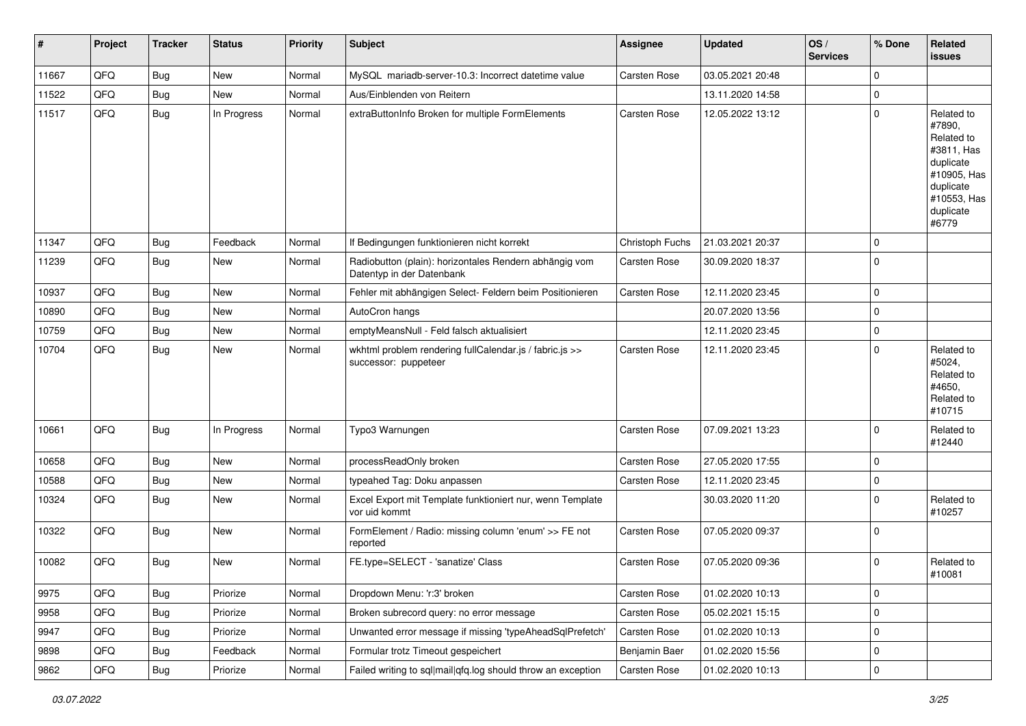| #     | Project | <b>Tracker</b> | <b>Status</b> | <b>Priority</b> | <b>Subject</b>                                                                      | <b>Assignee</b>     | <b>Updated</b>   | OS/<br><b>Services</b> | % Done      | Related<br><b>issues</b>                                                                                                       |
|-------|---------|----------------|---------------|-----------------|-------------------------------------------------------------------------------------|---------------------|------------------|------------------------|-------------|--------------------------------------------------------------------------------------------------------------------------------|
| 11667 | QFQ     | Bug            | New           | Normal          | MySQL mariadb-server-10.3: Incorrect datetime value                                 | Carsten Rose        | 03.05.2021 20:48 |                        | $\mathbf 0$ |                                                                                                                                |
| 11522 | QFQ     | Bug            | New           | Normal          | Aus/Einblenden von Reitern                                                          |                     | 13.11.2020 14:58 |                        | $\mathbf 0$ |                                                                                                                                |
| 11517 | QFQ     | Bug            | In Progress   | Normal          | extraButtonInfo Broken for multiple FormElements                                    | Carsten Rose        | 12.05.2022 13:12 |                        | $\Omega$    | Related to<br>#7890,<br>Related to<br>#3811, Has<br>duplicate<br>#10905, Has<br>duplicate<br>#10553, Has<br>duplicate<br>#6779 |
| 11347 | QFQ     | Bug            | Feedback      | Normal          | If Bedingungen funktionieren nicht korrekt                                          | Christoph Fuchs     | 21.03.2021 20:37 |                        | $\mathbf 0$ |                                                                                                                                |
| 11239 | QFQ     | Bug            | New           | Normal          | Radiobutton (plain): horizontales Rendern abhängig vom<br>Datentyp in der Datenbank | Carsten Rose        | 30.09.2020 18:37 |                        | $\Omega$    |                                                                                                                                |
| 10937 | QFQ     | Bug            | New           | Normal          | Fehler mit abhängigen Select- Feldern beim Positionieren                            | Carsten Rose        | 12.11.2020 23:45 |                        | $\mathbf 0$ |                                                                                                                                |
| 10890 | QFQ     | Bug            | New           | Normal          | AutoCron hangs                                                                      |                     | 20.07.2020 13:56 |                        | $\mathbf 0$ |                                                                                                                                |
| 10759 | QFQ     | Bug            | New           | Normal          | emptyMeansNull - Feld falsch aktualisiert                                           |                     | 12.11.2020 23:45 |                        | $\mathbf 0$ |                                                                                                                                |
| 10704 | QFQ     | Bug            | New           | Normal          | wkhtml problem rendering fullCalendar.js / fabric.js >><br>successor: puppeteer     | Carsten Rose        | 12.11.2020 23:45 |                        | $\Omega$    | Related to<br>#5024,<br>Related to<br>#4650,<br>Related to<br>#10715                                                           |
| 10661 | QFQ     | Bug            | In Progress   | Normal          | Typo3 Warnungen                                                                     | <b>Carsten Rose</b> | 07.09.2021 13:23 |                        | $\Omega$    | Related to<br>#12440                                                                                                           |
| 10658 | QFQ     | Bug            | New           | Normal          | processReadOnly broken                                                              | Carsten Rose        | 27.05.2020 17:55 |                        | 0           |                                                                                                                                |
| 10588 | QFQ     | <b>Bug</b>     | New           | Normal          | typeahed Tag: Doku anpassen                                                         | Carsten Rose        | 12.11.2020 23:45 |                        | $\mathbf 0$ |                                                                                                                                |
| 10324 | QFQ     | <b>Bug</b>     | New           | Normal          | Excel Export mit Template funktioniert nur, wenn Template<br>vor uid kommt          |                     | 30.03.2020 11:20 |                        | $\Omega$    | Related to<br>#10257                                                                                                           |
| 10322 | QFQ     | Bug            | New           | Normal          | FormElement / Radio: missing column 'enum' >> FE not<br>reported                    | Carsten Rose        | 07.05.2020 09:37 |                        | 0           |                                                                                                                                |
| 10082 | QFQ     | <b>Bug</b>     | New           | Normal          | FE.type=SELECT - 'sanatize' Class                                                   | Carsten Rose        | 07.05.2020 09:36 |                        | $\Omega$    | Related to<br>#10081                                                                                                           |
| 9975  | QFQ     | <b>Bug</b>     | Priorize      | Normal          | Dropdown Menu: 'r:3' broken                                                         | Carsten Rose        | 01.02.2020 10:13 |                        | 0           |                                                                                                                                |
| 9958  | QFQ     | <b>Bug</b>     | Priorize      | Normal          | Broken subrecord query: no error message                                            | Carsten Rose        | 05.02.2021 15:15 |                        | $\mathbf 0$ |                                                                                                                                |
| 9947  | QFQ     | <b>Bug</b>     | Priorize      | Normal          | Unwanted error message if missing 'typeAheadSqlPrefetch'                            | Carsten Rose        | 01.02.2020 10:13 |                        | 0           |                                                                                                                                |
| 9898  | QFQ     | <b>Bug</b>     | Feedback      | Normal          | Formular trotz Timeout gespeichert                                                  | Benjamin Baer       | 01.02.2020 15:56 |                        | 0           |                                                                                                                                |
| 9862  | QFQ     | <b>Bug</b>     | Priorize      | Normal          | Failed writing to sql mail qfq.log should throw an exception                        | Carsten Rose        | 01.02.2020 10:13 |                        | 0           |                                                                                                                                |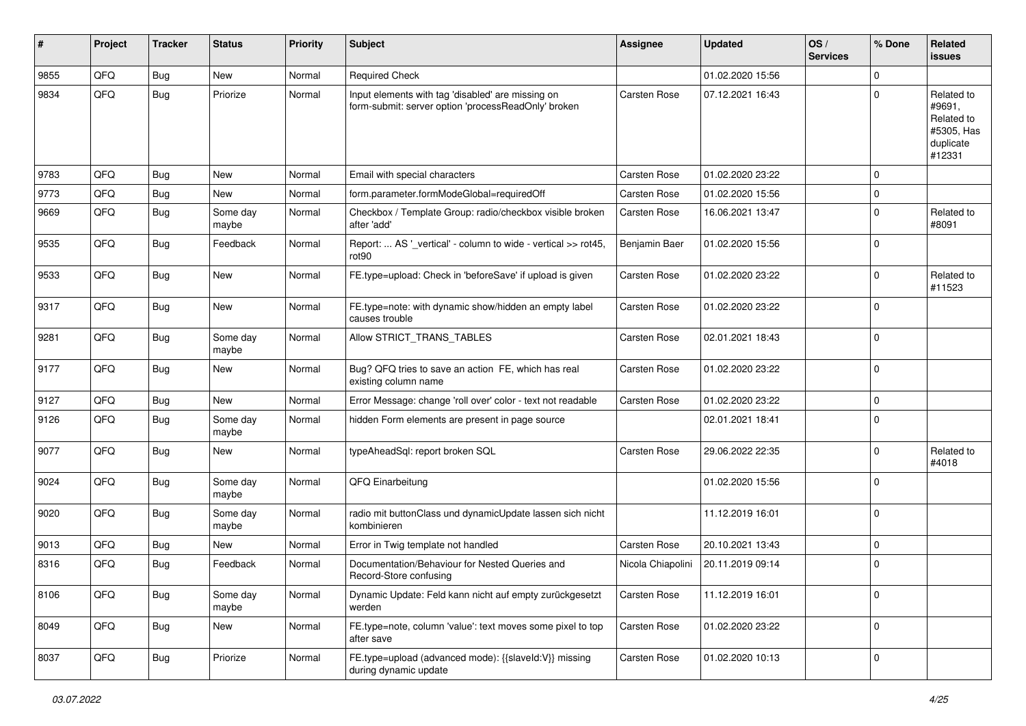| #    | Project | <b>Tracker</b> | <b>Status</b>     | <b>Priority</b> | Subject                                                                                                  | <b>Assignee</b>     | <b>Updated</b>   | OS/<br><b>Services</b> | % Done      | Related<br><b>issues</b>                                                |
|------|---------|----------------|-------------------|-----------------|----------------------------------------------------------------------------------------------------------|---------------------|------------------|------------------------|-------------|-------------------------------------------------------------------------|
| 9855 | QFQ     | <b>Bug</b>     | New               | Normal          | <b>Required Check</b>                                                                                    |                     | 01.02.2020 15:56 |                        | $\mathbf 0$ |                                                                         |
| 9834 | QFQ     | <b>Bug</b>     | Priorize          | Normal          | Input elements with tag 'disabled' are missing on<br>form-submit: server option 'processReadOnly' broken | Carsten Rose        | 07.12.2021 16:43 |                        | $\mathbf 0$ | Related to<br>#9691,<br>Related to<br>#5305, Has<br>duplicate<br>#12331 |
| 9783 | QFQ     | <b>Bug</b>     | New               | Normal          | Email with special characters                                                                            | Carsten Rose        | 01.02.2020 23:22 |                        | $\mathbf 0$ |                                                                         |
| 9773 | QFQ     | Bug            | <b>New</b>        | Normal          | form.parameter.formModeGlobal=requiredOff                                                                | Carsten Rose        | 01.02.2020 15:56 |                        | $\mathbf 0$ |                                                                         |
| 9669 | QFQ     | <b>Bug</b>     | Some day<br>maybe | Normal          | Checkbox / Template Group: radio/checkbox visible broken<br>after 'add'                                  | Carsten Rose        | 16.06.2021 13:47 |                        | $\mathbf 0$ | Related to<br>#8091                                                     |
| 9535 | QFQ     | <b>Bug</b>     | Feedback          | Normal          | Report:  AS '_vertical' - column to wide - vertical >> rot45,<br>rot <sub>90</sub>                       | Benjamin Baer       | 01.02.2020 15:56 |                        | $\mathbf 0$ |                                                                         |
| 9533 | QFQ     | <b>Bug</b>     | New               | Normal          | FE.type=upload: Check in 'beforeSave' if upload is given                                                 | Carsten Rose        | 01.02.2020 23:22 |                        | $\mathbf 0$ | Related to<br>#11523                                                    |
| 9317 | QFQ     | <b>Bug</b>     | New               | Normal          | FE.type=note: with dynamic show/hidden an empty label<br>causes trouble                                  | Carsten Rose        | 01.02.2020 23:22 |                        | $\mathbf 0$ |                                                                         |
| 9281 | QFQ     | <b>Bug</b>     | Some day<br>maybe | Normal          | Allow STRICT_TRANS_TABLES                                                                                | <b>Carsten Rose</b> | 02.01.2021 18:43 |                        | $\pmb{0}$   |                                                                         |
| 9177 | QFQ     | Bug            | <b>New</b>        | Normal          | Bug? QFQ tries to save an action FE, which has real<br>existing column name                              | Carsten Rose        | 01.02.2020 23:22 |                        | $\pmb{0}$   |                                                                         |
| 9127 | QFQ     | <b>Bug</b>     | New               | Normal          | Error Message: change 'roll over' color - text not readable                                              | Carsten Rose        | 01.02.2020 23:22 |                        | $\mathbf 0$ |                                                                         |
| 9126 | QFQ     | <b>Bug</b>     | Some day<br>maybe | Normal          | hidden Form elements are present in page source                                                          |                     | 02.01.2021 18:41 |                        | $\mathbf 0$ |                                                                         |
| 9077 | QFQ     | Bug            | <b>New</b>        | Normal          | typeAheadSql: report broken SQL                                                                          | Carsten Rose        | 29.06.2022 22:35 |                        | $\mathbf 0$ | Related to<br>#4018                                                     |
| 9024 | QFQ     | <b>Bug</b>     | Some day<br>maybe | Normal          | QFQ Einarbeitung                                                                                         |                     | 01.02.2020 15:56 |                        | $\mathbf 0$ |                                                                         |
| 9020 | QFQ     | <b>Bug</b>     | Some day<br>maybe | Normal          | radio mit buttonClass und dynamicUpdate lassen sich nicht<br>kombinieren                                 |                     | 11.12.2019 16:01 |                        | $\pmb{0}$   |                                                                         |
| 9013 | QFQ     | Bug            | <b>New</b>        | Normal          | Error in Twig template not handled                                                                       | Carsten Rose        | 20.10.2021 13:43 |                        | $\mathbf 0$ |                                                                         |
| 8316 | QFQ     | <b>Bug</b>     | Feedback          | Normal          | Documentation/Behaviour for Nested Queries and<br>Record-Store confusing                                 | Nicola Chiapolini   | 20.11.2019 09:14 |                        | $\mathbf 0$ |                                                                         |
| 8106 | QFQ     | <b>Bug</b>     | Some day<br>maybe | Normal          | Dynamic Update: Feld kann nicht auf empty zurückgesetzt<br>werden                                        | Carsten Rose        | 11.12.2019 16:01 |                        | $\mathbf 0$ |                                                                         |
| 8049 | QFQ     | <b>Bug</b>     | New               | Normal          | FE.type=note, column 'value': text moves some pixel to top<br>after save                                 | Carsten Rose        | 01.02.2020 23:22 |                        | $\mathbf 0$ |                                                                         |
| 8037 | QFQ     | <b>Bug</b>     | Priorize          | Normal          | FE.type=upload (advanced mode): {{slaveId:V}} missing<br>during dynamic update                           | Carsten Rose        | 01.02.2020 10:13 |                        | $\mathbf 0$ |                                                                         |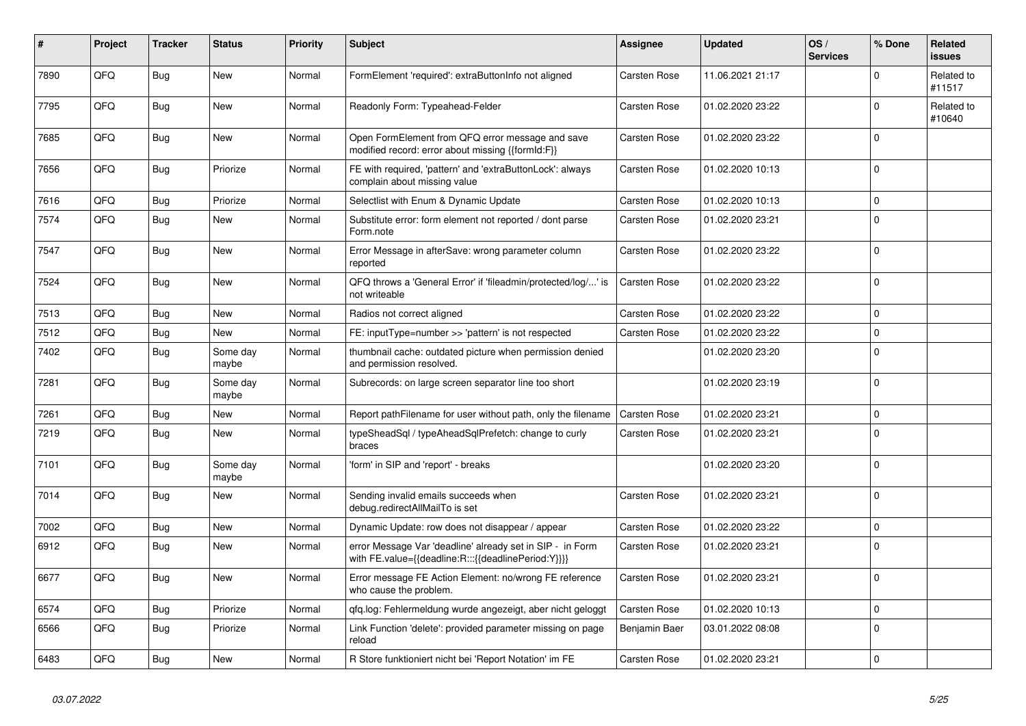| #    | Project | <b>Tracker</b> | <b>Status</b>     | <b>Priority</b> | Subject                                                                                                          | <b>Assignee</b>     | <b>Updated</b>   | OS/<br><b>Services</b> | % Done      | Related<br><b>issues</b> |
|------|---------|----------------|-------------------|-----------------|------------------------------------------------------------------------------------------------------------------|---------------------|------------------|------------------------|-------------|--------------------------|
| 7890 | QFQ     | Bug            | <b>New</b>        | Normal          | FormElement 'required': extraButtonInfo not aligned                                                              | Carsten Rose        | 11.06.2021 21:17 |                        | $\Omega$    | Related to<br>#11517     |
| 7795 | QFQ     | Bug            | <b>New</b>        | Normal          | Readonly Form: Typeahead-Felder                                                                                  | Carsten Rose        | 01.02.2020 23:22 |                        | $\mathbf 0$ | Related to<br>#10640     |
| 7685 | QFQ     | Bug            | <b>New</b>        | Normal          | Open FormElement from QFQ error message and save<br>modified record: error about missing {{formId:F}}            | Carsten Rose        | 01.02.2020 23:22 |                        | $\Omega$    |                          |
| 7656 | QFQ     | <b>Bug</b>     | Priorize          | Normal          | FE with required, 'pattern' and 'extraButtonLock': always<br>complain about missing value                        | Carsten Rose        | 01.02.2020 10:13 |                        | $\Omega$    |                          |
| 7616 | QFQ     | Bug            | Priorize          | Normal          | Selectlist with Enum & Dynamic Update                                                                            | Carsten Rose        | 01.02.2020 10:13 |                        | $\mathbf 0$ |                          |
| 7574 | QFQ     | Bug            | <b>New</b>        | Normal          | Substitute error: form element not reported / dont parse<br>Form.note                                            | Carsten Rose        | 01.02.2020 23:21 |                        | 0           |                          |
| 7547 | QFQ     | <b>Bug</b>     | <b>New</b>        | Normal          | Error Message in afterSave: wrong parameter column<br>reported                                                   | Carsten Rose        | 01.02.2020 23:22 |                        | $\Omega$    |                          |
| 7524 | QFQ     | Bug            | <b>New</b>        | Normal          | QFQ throws a 'General Error' if 'fileadmin/protected/log/' is<br>not writeable                                   | Carsten Rose        | 01.02.2020 23:22 |                        | $\Omega$    |                          |
| 7513 | QFQ     | Bug            | <b>New</b>        | Normal          | Radios not correct aligned                                                                                       | Carsten Rose        | 01.02.2020 23:22 |                        | $\Omega$    |                          |
| 7512 | QFQ     | Bug            | <b>New</b>        | Normal          | FE: inputType=number >> 'pattern' is not respected                                                               | Carsten Rose        | 01.02.2020 23:22 |                        | $\Omega$    |                          |
| 7402 | QFQ     | Bug            | Some day<br>maybe | Normal          | thumbnail cache: outdated picture when permission denied<br>and permission resolved.                             |                     | 01.02.2020 23:20 |                        | $\Omega$    |                          |
| 7281 | QFQ     | Bug            | Some dav<br>maybe | Normal          | Subrecords: on large screen separator line too short                                                             |                     | 01.02.2020 23:19 |                        | $\Omega$    |                          |
| 7261 | QFQ     | Bug            | New               | Normal          | Report pathFilename for user without path, only the filename                                                     | <b>Carsten Rose</b> | 01.02.2020 23:21 |                        | $\Omega$    |                          |
| 7219 | QFQ     | Bug            | <b>New</b>        | Normal          | typeSheadSql / typeAheadSqlPrefetch: change to curly<br>braces                                                   | Carsten Rose        | 01.02.2020 23:21 |                        | $\Omega$    |                          |
| 7101 | QFQ     | Bug            | Some day<br>maybe | Normal          | 'form' in SIP and 'report' - breaks                                                                              |                     | 01.02.2020 23:20 |                        | $\Omega$    |                          |
| 7014 | QFQ     | Bug            | <b>New</b>        | Normal          | Sending invalid emails succeeds when<br>debug.redirectAllMailTo is set                                           | Carsten Rose        | 01.02.2020 23:21 |                        | $\Omega$    |                          |
| 7002 | QFQ     | Bug            | <b>New</b>        | Normal          | Dynamic Update: row does not disappear / appear                                                                  | Carsten Rose        | 01.02.2020 23:22 |                        | $\mathbf 0$ |                          |
| 6912 | QFQ     | <b>Bug</b>     | New               | Normal          | error Message Var 'deadline' already set in SIP - in Form<br>with FE.value={{deadline:R:::{{deadlinePeriod:Y}}}} | Carsten Rose        | 01.02.2020 23:21 |                        | $\Omega$    |                          |
| 6677 | QFQ     | Bug            | <b>New</b>        | Normal          | Error message FE Action Element: no/wrong FE reference<br>who cause the problem.                                 | Carsten Rose        | 01.02.2020 23:21 |                        | $\Omega$    |                          |
| 6574 | QFQ     | Bug            | Priorize          | Normal          | qfq.log: Fehlermeldung wurde angezeigt, aber nicht geloggt                                                       | Carsten Rose        | 01.02.2020 10:13 |                        | $\Omega$    |                          |
| 6566 | QFQ     | Bug            | Priorize          | Normal          | Link Function 'delete': provided parameter missing on page<br>reload                                             | Benjamin Baer       | 03.01.2022 08:08 |                        | $\Omega$    |                          |
| 6483 | QFQ     | Bug            | <b>New</b>        | Normal          | R Store funktioniert nicht bei 'Report Notation' im FE                                                           | Carsten Rose        | 01.02.2020 23:21 |                        | $\Omega$    |                          |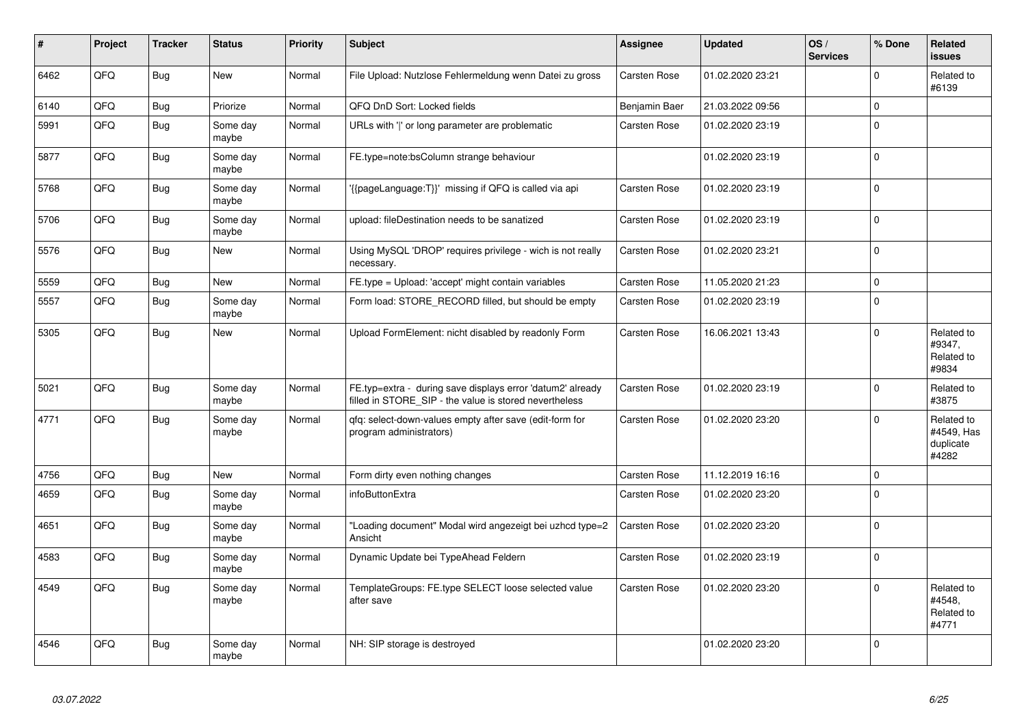| #    | Project | <b>Tracker</b> | <b>Status</b>     | <b>Priority</b> | <b>Subject</b>                                                                                                       | Assignee      | <b>Updated</b>   | OS/<br><b>Services</b> | % Done              | Related<br><b>issues</b>                       |
|------|---------|----------------|-------------------|-----------------|----------------------------------------------------------------------------------------------------------------------|---------------|------------------|------------------------|---------------------|------------------------------------------------|
| 6462 | QFQ     | <b>Bug</b>     | <b>New</b>        | Normal          | File Upload: Nutzlose Fehlermeldung wenn Datei zu gross                                                              | Carsten Rose  | 01.02.2020 23:21 |                        | $\Omega$            | Related to<br>#6139                            |
| 6140 | QFQ     | <b>Bug</b>     | Priorize          | Normal          | QFQ DnD Sort: Locked fields                                                                                          | Benjamin Baer | 21.03.2022 09:56 |                        | $\mathsf{O}\xspace$ |                                                |
| 5991 | QFQ     | <b>Bug</b>     | Some day<br>maybe | Normal          | URLs with ' ' or long parameter are problematic                                                                      | Carsten Rose  | 01.02.2020 23:19 |                        | $\mathbf 0$         |                                                |
| 5877 | QFQ     | <b>Bug</b>     | Some day<br>maybe | Normal          | FE.type=note:bsColumn strange behaviour                                                                              |               | 01.02.2020 23:19 |                        | $\mathsf 0$         |                                                |
| 5768 | QFQ     | <b>Bug</b>     | Some dav<br>maybe | Normal          | '{{pageLanguage:T}}' missing if QFQ is called via api                                                                | Carsten Rose  | 01.02.2020 23:19 |                        | $\mathbf 0$         |                                                |
| 5706 | QFQ     | Bug            | Some day<br>maybe | Normal          | upload: fileDestination needs to be sanatized                                                                        | Carsten Rose  | 01.02.2020 23:19 |                        | $\mathbf 0$         |                                                |
| 5576 | QFQ     | <b>Bug</b>     | New               | Normal          | Using MySQL 'DROP' requires privilege - wich is not really<br>necessary.                                             | Carsten Rose  | 01.02.2020 23:21 |                        | $\mathbf 0$         |                                                |
| 5559 | QFQ     | <b>Bug</b>     | <b>New</b>        | Normal          | FE.type = Upload: 'accept' might contain variables                                                                   | Carsten Rose  | 11.05.2020 21:23 |                        | $\mathbf 0$         |                                                |
| 5557 | QFQ     | <b>Bug</b>     | Some day<br>maybe | Normal          | Form load: STORE_RECORD filled, but should be empty                                                                  | Carsten Rose  | 01.02.2020 23:19 |                        | $\mathbf 0$         |                                                |
| 5305 | QFQ     | Bug            | <b>New</b>        | Normal          | Upload FormElement: nicht disabled by readonly Form                                                                  | Carsten Rose  | 16.06.2021 13:43 |                        | $\mathbf 0$         | Related to<br>#9347,<br>Related to<br>#9834    |
| 5021 | QFQ     | <b>Bug</b>     | Some day<br>maybe | Normal          | FE.typ=extra - during save displays error 'datum2' already<br>filled in STORE SIP - the value is stored nevertheless | Carsten Rose  | 01.02.2020 23:19 |                        | $\mathbf 0$         | Related to<br>#3875                            |
| 4771 | QFQ     | Bug            | Some day<br>maybe | Normal          | qfq: select-down-values empty after save (edit-form for<br>program administrators)                                   | Carsten Rose  | 01.02.2020 23:20 |                        | $\mathbf 0$         | Related to<br>#4549, Has<br>duplicate<br>#4282 |
| 4756 | QFQ     | <b>Bug</b>     | <b>New</b>        | Normal          | Form dirty even nothing changes                                                                                      | Carsten Rose  | 11.12.2019 16:16 |                        | $\mathsf{O}\xspace$ |                                                |
| 4659 | QFQ     | <b>Bug</b>     | Some day<br>maybe | Normal          | infoButtonExtra                                                                                                      | Carsten Rose  | 01.02.2020 23:20 |                        | $\Omega$            |                                                |
| 4651 | QFQ     | <b>Bug</b>     | Some day<br>maybe | Normal          | "Loading document" Modal wird angezeigt bei uzhcd type=2<br>Ansicht                                                  | Carsten Rose  | 01.02.2020 23:20 |                        | $\mathbf 0$         |                                                |
| 4583 | QFQ     | <b>Bug</b>     | Some day<br>maybe | Normal          | Dynamic Update bei TypeAhead Feldern                                                                                 | Carsten Rose  | 01.02.2020 23:19 |                        | $\Omega$            |                                                |
| 4549 | QFQ     | Bug            | Some day<br>maybe | Normal          | TemplateGroups: FE.type SELECT loose selected value<br>after save                                                    | Carsten Rose  | 01.02.2020 23:20 |                        | $\mathbf 0$         | Related to<br>#4548,<br>Related to<br>#4771    |
| 4546 | QFQ     | <b>Bug</b>     | Some day<br>maybe | Normal          | NH: SIP storage is destroyed                                                                                         |               | 01.02.2020 23:20 |                        | $\Omega$            |                                                |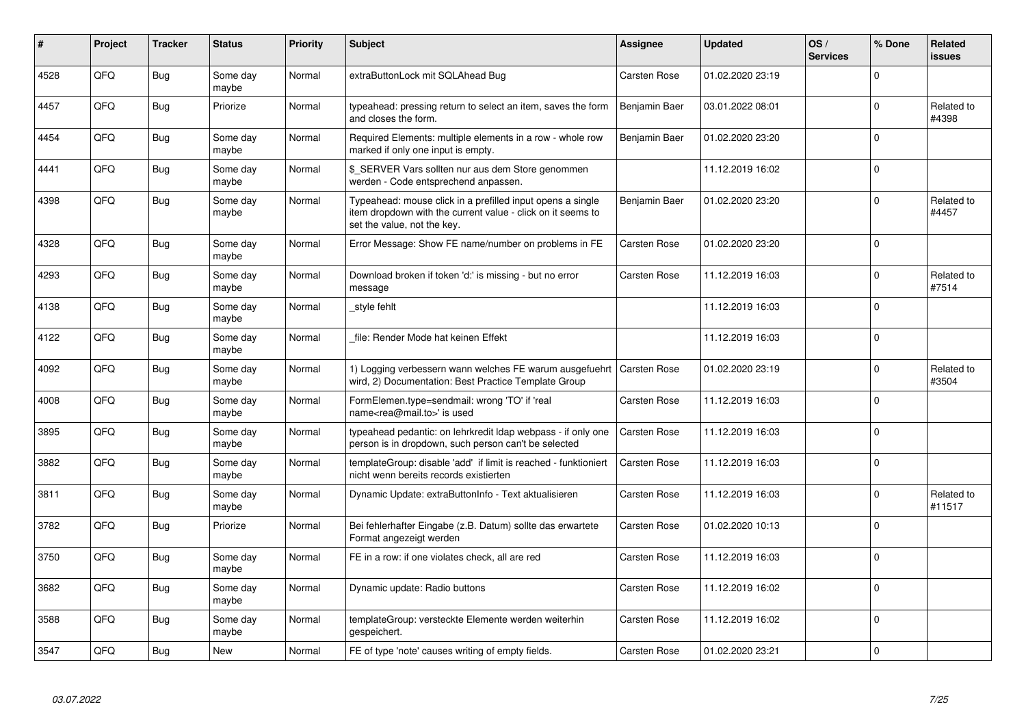| #    | Project | <b>Tracker</b> | <b>Status</b>     | <b>Priority</b> | <b>Subject</b>                                                                                                                                           | <b>Assignee</b>     | <b>Updated</b>   | OS/<br><b>Services</b> | % Done      | Related<br><b>issues</b> |
|------|---------|----------------|-------------------|-----------------|----------------------------------------------------------------------------------------------------------------------------------------------------------|---------------------|------------------|------------------------|-------------|--------------------------|
| 4528 | QFQ     | Bug            | Some day<br>maybe | Normal          | extraButtonLock mit SQLAhead Bug                                                                                                                         | Carsten Rose        | 01.02.2020 23:19 |                        | $\Omega$    |                          |
| 4457 | QFQ     | <b>Bug</b>     | Priorize          | Normal          | typeahead: pressing return to select an item, saves the form<br>and closes the form.                                                                     | Benjamin Baer       | 03.01.2022 08:01 |                        | $\mathbf 0$ | Related to<br>#4398      |
| 4454 | QFQ     | Bug            | Some day<br>maybe | Normal          | Required Elements: multiple elements in a row - whole row<br>marked if only one input is empty.                                                          | Benjamin Baer       | 01.02.2020 23:20 |                        | $\Omega$    |                          |
| 4441 | QFQ     | Bug            | Some day<br>maybe | Normal          | \$ SERVER Vars sollten nur aus dem Store genommen<br>werden - Code entsprechend anpassen.                                                                |                     | 11.12.2019 16:02 |                        | $\Omega$    |                          |
| 4398 | QFQ     | Bug            | Some day<br>maybe | Normal          | Typeahead: mouse click in a prefilled input opens a single<br>item dropdown with the current value - click on it seems to<br>set the value, not the key. | Benjamin Baer       | 01.02.2020 23:20 |                        | $\mathbf 0$ | Related to<br>#4457      |
| 4328 | QFQ     | Bug            | Some day<br>maybe | Normal          | Error Message: Show FE name/number on problems in FE                                                                                                     | Carsten Rose        | 01.02.2020 23:20 |                        | $\Omega$    |                          |
| 4293 | QFQ     | Bug            | Some day<br>maybe | Normal          | Download broken if token 'd:' is missing - but no error<br>message                                                                                       | Carsten Rose        | 11.12.2019 16:03 |                        | $\mathbf 0$ | Related to<br>#7514      |
| 4138 | QFQ     | Bug            | Some day<br>maybe | Normal          | style fehlt                                                                                                                                              |                     | 11.12.2019 16:03 |                        | $\mathbf 0$ |                          |
| 4122 | QFQ     | Bug            | Some day<br>maybe | Normal          | file: Render Mode hat keinen Effekt                                                                                                                      |                     | 11.12.2019 16:03 |                        | $\mathbf 0$ |                          |
| 4092 | QFQ     | Bug            | Some day<br>maybe | Normal          | 1) Logging verbessern wann welches FE warum ausgefuehrt<br>wird, 2) Documentation: Best Practice Template Group                                          | <b>Carsten Rose</b> | 01.02.2020 23:19 |                        | $\Omega$    | Related to<br>#3504      |
| 4008 | QFQ     | Bug            | Some day<br>maybe | Normal          | FormElemen.type=sendmail: wrong 'TO' if 'real<br>name <rea@mail.to>' is used</rea@mail.to>                                                               | Carsten Rose        | 11.12.2019 16:03 |                        | $\mathbf 0$ |                          |
| 3895 | QFQ     | Bug            | Some day<br>maybe | Normal          | typeahead pedantic: on lehrkredit Idap webpass - if only one<br>person is in dropdown, such person can't be selected                                     | Carsten Rose        | 11.12.2019 16:03 |                        | $\mathbf 0$ |                          |
| 3882 | QFQ     | Bug            | Some day<br>maybe | Normal          | templateGroup: disable 'add' if limit is reached - funktioniert<br>nicht wenn bereits records existierten                                                | Carsten Rose        | 11.12.2019 16:03 |                        | $\mathbf 0$ |                          |
| 3811 | QFQ     | <b>Bug</b>     | Some day<br>maybe | Normal          | Dynamic Update: extraButtonInfo - Text aktualisieren                                                                                                     | Carsten Rose        | 11.12.2019 16:03 |                        | $\Omega$    | Related to<br>#11517     |
| 3782 | QFQ     | Bug            | Priorize          | Normal          | Bei fehlerhafter Eingabe (z.B. Datum) sollte das erwartete<br>Format angezeigt werden                                                                    | Carsten Rose        | 01.02.2020 10:13 |                        | $\mathbf 0$ |                          |
| 3750 | QFQ     | Bug            | Some day<br>maybe | Normal          | FE in a row: if one violates check, all are red                                                                                                          | Carsten Rose        | 11.12.2019 16:03 |                        | $\mathbf 0$ |                          |
| 3682 | QFQ     | Bug            | Some day<br>maybe | Normal          | Dynamic update: Radio buttons                                                                                                                            | Carsten Rose        | 11.12.2019 16:02 |                        | $\Omega$    |                          |
| 3588 | QFQ     | Bug            | Some day<br>maybe | Normal          | templateGroup: versteckte Elemente werden weiterhin<br>gespeichert.                                                                                      | Carsten Rose        | 11.12.2019 16:02 |                        | $\mathbf 0$ |                          |
| 3547 | QFQ     | Bug            | <b>New</b>        | Normal          | FE of type 'note' causes writing of empty fields.                                                                                                        | Carsten Rose        | 01.02.2020 23:21 |                        | $\pmb{0}$   |                          |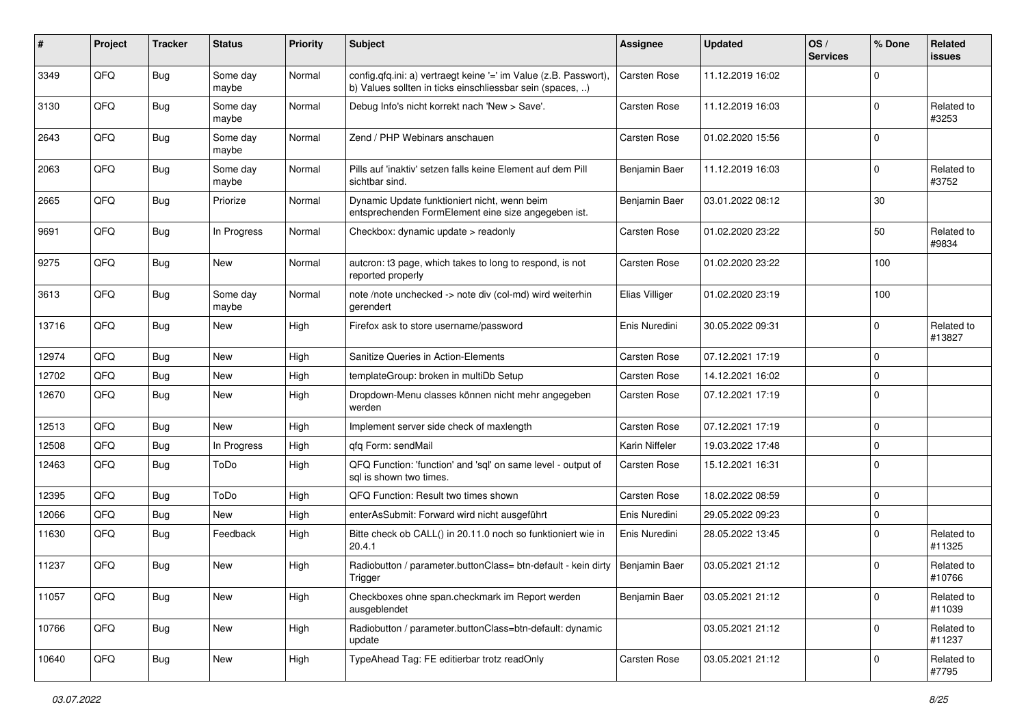| #     | Project | <b>Tracker</b> | <b>Status</b>     | <b>Priority</b> | Subject                                                                                                                       | <b>Assignee</b>     | <b>Updated</b>   | OS/<br><b>Services</b> | % Done      | Related<br><b>issues</b> |
|-------|---------|----------------|-------------------|-----------------|-------------------------------------------------------------------------------------------------------------------------------|---------------------|------------------|------------------------|-------------|--------------------------|
| 3349  | QFQ     | Bug            | Some day<br>maybe | Normal          | config.qfq.ini: a) vertraegt keine '=' im Value (z.B. Passwort),<br>b) Values sollten in ticks einschliessbar sein (spaces, ) | <b>Carsten Rose</b> | 11.12.2019 16:02 |                        | $\mathbf 0$ |                          |
| 3130  | QFQ     | Bug            | Some day<br>maybe | Normal          | Debug Info's nicht korrekt nach 'New > Save'.                                                                                 | Carsten Rose        | 11.12.2019 16:03 |                        | $\mathbf 0$ | Related to<br>#3253      |
| 2643  | QFQ     | Bug            | Some day<br>maybe | Normal          | Zend / PHP Webinars anschauen                                                                                                 | Carsten Rose        | 01.02.2020 15:56 |                        | $\mathbf 0$ |                          |
| 2063  | QFQ     | Bug            | Some day<br>maybe | Normal          | Pills auf 'inaktiv' setzen falls keine Element auf dem Pill<br>sichtbar sind.                                                 | Benjamin Baer       | 11.12.2019 16:03 |                        | $\mathbf 0$ | Related to<br>#3752      |
| 2665  | QFQ     | <b>Bug</b>     | Priorize          | Normal          | Dynamic Update funktioniert nicht, wenn beim<br>entsprechenden FormElement eine size angegeben ist.                           | Benjamin Baer       | 03.01.2022 08:12 |                        | 30          |                          |
| 9691  | QFQ     | Bug            | In Progress       | Normal          | Checkbox: dynamic update > readonly                                                                                           | Carsten Rose        | 01.02.2020 23:22 |                        | 50          | Related to<br>#9834      |
| 9275  | QFQ     | <b>Bug</b>     | New               | Normal          | autcron: t3 page, which takes to long to respond, is not<br>reported properly                                                 | Carsten Rose        | 01.02.2020 23:22 |                        | 100         |                          |
| 3613  | QFQ     | <b>Bug</b>     | Some day<br>maybe | Normal          | note /note unchecked -> note div (col-md) wird weiterhin<br>gerendert                                                         | Elias Villiger      | 01.02.2020 23:19 |                        | 100         |                          |
| 13716 | QFQ     | Bug            | New               | High            | Firefox ask to store username/password                                                                                        | Enis Nuredini       | 30.05.2022 09:31 |                        | $\mathbf 0$ | Related to<br>#13827     |
| 12974 | QFQ     | Bug            | <b>New</b>        | High            | Sanitize Queries in Action-Elements                                                                                           | Carsten Rose        | 07.12.2021 17:19 |                        | $\mathbf 0$ |                          |
| 12702 | QFQ     | <b>Bug</b>     | <b>New</b>        | High            | templateGroup: broken in multiDb Setup                                                                                        | Carsten Rose        | 14.12.2021 16:02 |                        | $\mathbf 0$ |                          |
| 12670 | QFQ     | Bug            | New               | High            | Dropdown-Menu classes können nicht mehr angegeben<br>werden                                                                   | Carsten Rose        | 07.12.2021 17:19 |                        | $\mathbf 0$ |                          |
| 12513 | QFQ     | <b>Bug</b>     | <b>New</b>        | High            | Implement server side check of maxlength                                                                                      | <b>Carsten Rose</b> | 07.12.2021 17:19 |                        | $\mathbf 0$ |                          |
| 12508 | QFQ     | Bug            | In Progress       | High            | gfg Form: sendMail                                                                                                            | Karin Niffeler      | 19.03.2022 17:48 |                        | $\mathbf 0$ |                          |
| 12463 | QFQ     | <b>Bug</b>     | ToDo              | High            | QFQ Function: 'function' and 'sql' on same level - output of<br>sal is shown two times.                                       | Carsten Rose        | 15.12.2021 16:31 |                        | $\mathbf 0$ |                          |
| 12395 | QFQ     | Bug            | ToDo              | High            | QFQ Function: Result two times shown                                                                                          | Carsten Rose        | 18.02.2022 08:59 |                        | $\mathbf 0$ |                          |
| 12066 | QFQ     | <b>Bug</b>     | New               | High            | enterAsSubmit: Forward wird nicht ausgeführt                                                                                  | Enis Nuredini       | 29.05.2022 09:23 |                        | $\pmb{0}$   |                          |
| 11630 | QFQ     | <b>Bug</b>     | Feedback          | High            | Bitte check ob CALL() in 20.11.0 noch so funktioniert wie in<br>20.4.1                                                        | Enis Nuredini       | 28.05.2022 13:45 |                        | $\mathbf 0$ | Related to<br>#11325     |
| 11237 | QFQ     | <b>Bug</b>     | <b>New</b>        | High            | Radiobutton / parameter.buttonClass= btn-default - kein dirty<br>Trigger                                                      | Benjamin Baer       | 03.05.2021 21:12 |                        | $\mathbf 0$ | Related to<br>#10766     |
| 11057 | QFQ     | <b>Bug</b>     | New               | High            | Checkboxes ohne span.checkmark im Report werden<br>ausgeblendet                                                               | Benjamin Baer       | 03.05.2021 21:12 |                        | $\mathbf 0$ | Related to<br>#11039     |
| 10766 | QFQ     | <b>Bug</b>     | New               | High            | Radiobutton / parameter.buttonClass=btn-default: dynamic<br>update                                                            |                     | 03.05.2021 21:12 |                        | $\mathbf 0$ | Related to<br>#11237     |
| 10640 | QFQ     | <b>Bug</b>     | New               | High            | TypeAhead Tag: FE editierbar trotz readOnly                                                                                   | Carsten Rose        | 03.05.2021 21:12 |                        | $\mathbf 0$ | Related to<br>#7795      |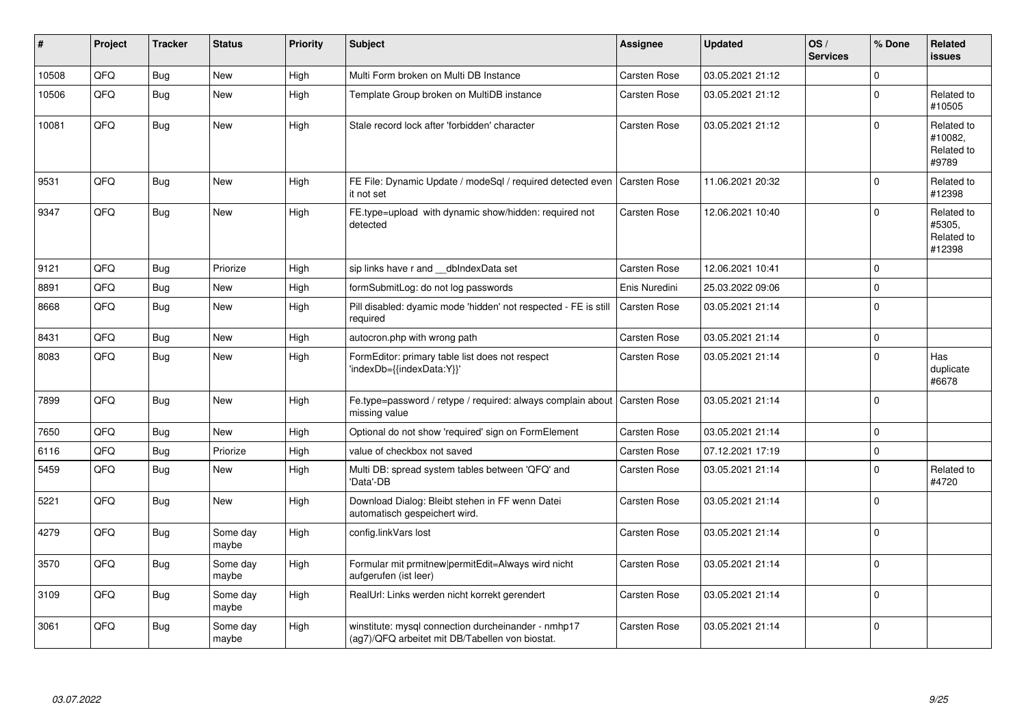| #     | Project | <b>Tracker</b> | <b>Status</b>     | <b>Priority</b> | <b>Subject</b>                                                                                         | Assignee            | <b>Updated</b>   | OS/<br><b>Services</b> | % Done         | Related<br><b>issues</b>                     |
|-------|---------|----------------|-------------------|-----------------|--------------------------------------------------------------------------------------------------------|---------------------|------------------|------------------------|----------------|----------------------------------------------|
| 10508 | QFQ     | Bug            | New               | High            | Multi Form broken on Multi DB Instance                                                                 | Carsten Rose        | 03.05.2021 21:12 |                        | $\overline{0}$ |                                              |
| 10506 | QFQ     | Bug            | New               | High            | Template Group broken on MultiDB instance                                                              | Carsten Rose        | 03.05.2021 21:12 |                        | $\mathbf 0$    | Related to<br>#10505                         |
| 10081 | QFQ     | Bug            | <b>New</b>        | High            | Stale record lock after 'forbidden' character                                                          | Carsten Rose        | 03.05.2021 21:12 |                        | $\overline{0}$ | Related to<br>#10082.<br>Related to<br>#9789 |
| 9531  | QFQ     | Bug            | <b>New</b>        | High            | FE File: Dynamic Update / modeSql / required detected even<br>it not set                               | <b>Carsten Rose</b> | 11.06.2021 20:32 |                        | $\overline{0}$ | Related to<br>#12398                         |
| 9347  | QFQ     | Bug            | <b>New</b>        | High            | FE.type=upload with dynamic show/hidden: required not<br>detected                                      | Carsten Rose        | 12.06.2021 10:40 |                        | 0              | Related to<br>#5305,<br>Related to<br>#12398 |
| 9121  | QFQ     | Bug            | Priorize          | High            | sip links have r and dblndexData set                                                                   | Carsten Rose        | 12.06.2021 10:41 |                        | 0              |                                              |
| 8891  | QFQ     | Bug            | <b>New</b>        | High            | formSubmitLog: do not log passwords                                                                    | Enis Nuredini       | 25.03.2022 09:06 |                        | $\overline{0}$ |                                              |
| 8668  | QFQ     | Bug            | <b>New</b>        | High            | Pill disabled: dyamic mode 'hidden' not respected - FE is still<br>required                            | <b>Carsten Rose</b> | 03.05.2021 21:14 |                        | 0              |                                              |
| 8431  | QFQ     | <b>Bug</b>     | <b>New</b>        | High            | autocron.php with wrong path                                                                           | Carsten Rose        | 03.05.2021 21:14 |                        | 0              |                                              |
| 8083  | QFQ     | Bug            | <b>New</b>        | High            | FormEditor: primary table list does not respect<br>'indexDb={{indexData:Y}}'                           | Carsten Rose        | 03.05.2021 21:14 |                        | 0              | Has<br>duplicate<br>#6678                    |
| 7899  | QFQ     | Bug            | <b>New</b>        | High            | Fe.type=password / retype / required: always complain about<br>missing value                           | <b>Carsten Rose</b> | 03.05.2021 21:14 |                        | $\overline{0}$ |                                              |
| 7650  | QFQ     | Bug            | <b>New</b>        | High            | Optional do not show 'required' sign on FormElement                                                    | Carsten Rose        | 03.05.2021 21:14 |                        | 0              |                                              |
| 6116  | QFQ     | Bug            | Priorize          | High            | value of checkbox not saved                                                                            | Carsten Rose        | 07.12.2021 17:19 |                        | 0              |                                              |
| 5459  | QFQ     | Bug            | <b>New</b>        | High            | Multi DB: spread system tables between 'QFQ' and<br>'Data'-DB                                          | Carsten Rose        | 03.05.2021 21:14 |                        | $\overline{0}$ | Related to<br>#4720                          |
| 5221  | QFQ     | <b>Bug</b>     | <b>New</b>        | High            | Download Dialog: Bleibt stehen in FF wenn Datei<br>automatisch gespeichert wird.                       | Carsten Rose        | 03.05.2021 21:14 |                        | 0              |                                              |
| 4279  | QFQ     | Bug            | Some day<br>maybe | High            | config.linkVars lost                                                                                   | Carsten Rose        | 03.05.2021 21:14 |                        | 0              |                                              |
| 3570  | QFQ     | <b>Bug</b>     | Some day<br>maybe | High            | Formular mit prmitnew permitEdit=Always wird nicht<br>aufgerufen (ist leer)                            | Carsten Rose        | 03.05.2021 21:14 |                        | 0              |                                              |
| 3109  | QFQ     | <b>Bug</b>     | Some day<br>maybe | High            | RealUrl: Links werden nicht korrekt gerendert                                                          | Carsten Rose        | 03.05.2021 21:14 |                        | $\overline{0}$ |                                              |
| 3061  | QFQ     | Bug            | Some day<br>maybe | High            | winstitute: mysql connection durcheinander - nmhp17<br>(ag7)/QFQ arbeitet mit DB/Tabellen von biostat. | Carsten Rose        | 03.05.2021 21:14 |                        | 0              |                                              |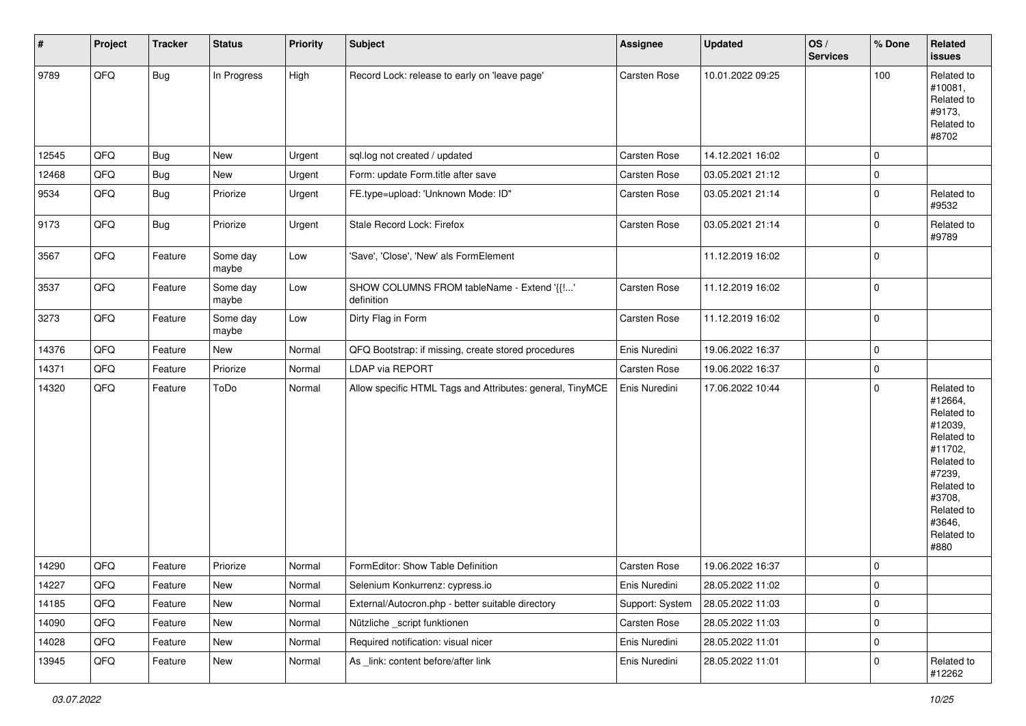| $\sharp$ | Project | Tracker    | <b>Status</b>     | <b>Priority</b> | <b>Subject</b>                                            | Assignee        | Updated          | OS/<br><b>Services</b> | % Done         | Related<br>issues                                                                                                                                                     |
|----------|---------|------------|-------------------|-----------------|-----------------------------------------------------------|-----------------|------------------|------------------------|----------------|-----------------------------------------------------------------------------------------------------------------------------------------------------------------------|
| 9789     | QFQ     | Bug        | In Progress       | High            | Record Lock: release to early on 'leave page'             | Carsten Rose    | 10.01.2022 09:25 |                        | 100            | Related to<br>#10081,<br>Related to<br>#9173,<br>Related to<br>#8702                                                                                                  |
| 12545    | QFQ     | Bug        | New               | Urgent          | sql.log not created / updated                             | Carsten Rose    | 14.12.2021 16:02 |                        | 0              |                                                                                                                                                                       |
| 12468    | QFQ     | Bug        | New               | Urgent          | Form: update Form.title after save                        | Carsten Rose    | 03.05.2021 21:12 |                        | 0              |                                                                                                                                                                       |
| 9534     | QFQ     | Bug        | Priorize          | Urgent          | FE.type=upload: 'Unknown Mode: ID"                        | Carsten Rose    | 03.05.2021 21:14 |                        | 0              | Related to<br>#9532                                                                                                                                                   |
| 9173     | QFQ     | <b>Bug</b> | Priorize          | Urgent          | Stale Record Lock: Firefox                                | Carsten Rose    | 03.05.2021 21:14 |                        | 0              | Related to<br>#9789                                                                                                                                                   |
| 3567     | QFQ     | Feature    | Some day<br>maybe | Low             | 'Save', 'Close', 'New' als FormElement                    |                 | 11.12.2019 16:02 |                        | 0              |                                                                                                                                                                       |
| 3537     | QFQ     | Feature    | Some day<br>maybe | Low             | SHOW COLUMNS FROM tableName - Extend '{{!'<br>definition  | Carsten Rose    | 11.12.2019 16:02 |                        | 0              |                                                                                                                                                                       |
| 3273     | QFQ     | Feature    | Some day<br>maybe | Low             | Dirty Flag in Form                                        | Carsten Rose    | 11.12.2019 16:02 |                        | 0              |                                                                                                                                                                       |
| 14376    | QFQ     | Feature    | New               | Normal          | QFQ Bootstrap: if missing, create stored procedures       | Enis Nuredini   | 19.06.2022 16:37 |                        | 0              |                                                                                                                                                                       |
| 14371    | QFQ     | Feature    | Priorize          | Normal          | LDAP via REPORT                                           | Carsten Rose    | 19.06.2022 16:37 |                        | 0              |                                                                                                                                                                       |
| 14320    | QFQ     | Feature    | ToDo              | Normal          | Allow specific HTML Tags and Attributes: general, TinyMCE | Enis Nuredini   | 17.06.2022 10:44 |                        | $\mathbf 0$    | Related to<br>#12664,<br>Related to<br>#12039,<br>Related to<br>#11702,<br>Related to<br>#7239,<br>Related to<br>#3708,<br>Related to<br>#3646,<br>Related to<br>#880 |
| 14290    | QFQ     | Feature    | Priorize          | Normal          | FormEditor: Show Table Definition                         | Carsten Rose    | 19.06.2022 16:37 |                        | 0              |                                                                                                                                                                       |
| 14227    | QFQ     | Feature    | New               | Normal          | Selenium Konkurrenz: cypress.io                           | Enis Nuredini   | 28.05.2022 11:02 |                        | 0              |                                                                                                                                                                       |
| 14185    | QFQ     | Feature    | New               | Normal          | External/Autocron.php - better suitable directory         | Support: System | 28.05.2022 11:03 |                        | $\overline{0}$ |                                                                                                                                                                       |
| 14090    | QFQ     | Feature    | New               | Normal          | Nützliche _script funktionen                              | Carsten Rose    | 28.05.2022 11:03 |                        | 0              |                                                                                                                                                                       |
| 14028    | QFQ     | Feature    | New               | Normal          | Required notification: visual nicer                       | Enis Nuredini   | 28.05.2022 11:01 |                        | 0              |                                                                                                                                                                       |
| 13945    | QFQ     | Feature    | New               | Normal          | As _link: content before/after link                       | Enis Nuredini   | 28.05.2022 11:01 |                        | 0              | Related to<br>#12262                                                                                                                                                  |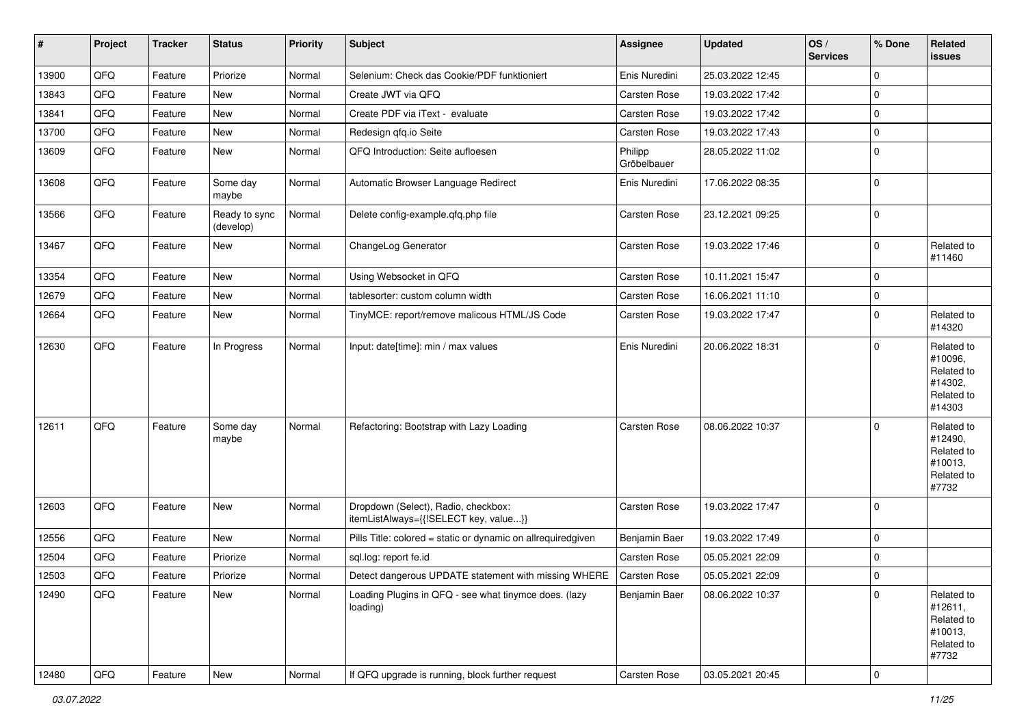| #     | Project | <b>Tracker</b> | <b>Status</b>              | <b>Priority</b> | <b>Subject</b>                                                               | <b>Assignee</b>        | <b>Updated</b>   | OS/<br><b>Services</b> | % Done      | Related<br><b>issues</b>                                               |
|-------|---------|----------------|----------------------------|-----------------|------------------------------------------------------------------------------|------------------------|------------------|------------------------|-------------|------------------------------------------------------------------------|
| 13900 | QFQ     | Feature        | Priorize                   | Normal          | Selenium: Check das Cookie/PDF funktioniert                                  | Enis Nuredini          | 25.03.2022 12:45 |                        | $\mathbf 0$ |                                                                        |
| 13843 | QFQ     | Feature        | <b>New</b>                 | Normal          | Create JWT via QFQ                                                           | Carsten Rose           | 19.03.2022 17:42 |                        | $\mathbf 0$ |                                                                        |
| 13841 | QFQ     | Feature        | New                        | Normal          | Create PDF via iText - evaluate                                              | Carsten Rose           | 19.03.2022 17:42 |                        | $\mathbf 0$ |                                                                        |
| 13700 | QFQ     | Feature        | New                        | Normal          | Redesign qfq.io Seite                                                        | Carsten Rose           | 19.03.2022 17:43 |                        | $\mathbf 0$ |                                                                        |
| 13609 | QFQ     | Feature        | New                        | Normal          | QFQ Introduction: Seite aufloesen                                            | Philipp<br>Gröbelbauer | 28.05.2022 11:02 |                        | $\mathbf 0$ |                                                                        |
| 13608 | QFQ     | Feature        | Some day<br>maybe          | Normal          | Automatic Browser Language Redirect                                          | Enis Nuredini          | 17.06.2022 08:35 |                        | $\mathbf 0$ |                                                                        |
| 13566 | QFQ     | Feature        | Ready to sync<br>(develop) | Normal          | Delete config-example.qfq.php file                                           | Carsten Rose           | 23.12.2021 09:25 |                        | $\mathbf 0$ |                                                                        |
| 13467 | QFQ     | Feature        | New                        | Normal          | ChangeLog Generator                                                          | Carsten Rose           | 19.03.2022 17:46 |                        | $\mathbf 0$ | Related to<br>#11460                                                   |
| 13354 | QFQ     | Feature        | <b>New</b>                 | Normal          | Using Websocket in QFQ                                                       | Carsten Rose           | 10.11.2021 15:47 |                        | $\mathbf 0$ |                                                                        |
| 12679 | QFQ     | Feature        | New                        | Normal          | tablesorter: custom column width                                             | Carsten Rose           | 16.06.2021 11:10 |                        | $\pmb{0}$   |                                                                        |
| 12664 | QFQ     | Feature        | New                        | Normal          | TinyMCE: report/remove malicous HTML/JS Code                                 | Carsten Rose           | 19.03.2022 17:47 |                        | $\mathbf 0$ | Related to<br>#14320                                                   |
| 12630 | QFQ     | Feature        | In Progress                | Normal          | Input: date[time]: min / max values                                          | Enis Nuredini          | 20.06.2022 18:31 |                        | $\mathbf 0$ | Related to<br>#10096,<br>Related to<br>#14302,<br>Related to<br>#14303 |
| 12611 | QFQ     | Feature        | Some day<br>maybe          | Normal          | Refactoring: Bootstrap with Lazy Loading                                     | <b>Carsten Rose</b>    | 08.06.2022 10:37 |                        | $\mathbf 0$ | Related to<br>#12490,<br>Related to<br>#10013,<br>Related to<br>#7732  |
| 12603 | QFQ     | Feature        | New                        | Normal          | Dropdown (Select), Radio, checkbox:<br>itemListAlways={{!SELECT key, value}} | <b>Carsten Rose</b>    | 19.03.2022 17:47 |                        | $\mathbf 0$ |                                                                        |
| 12556 | QFQ     | Feature        | New                        | Normal          | Pills Title: colored = static or dynamic on allrequiredgiven                 | Benjamin Baer          | 19.03.2022 17:49 |                        | $\mathbf 0$ |                                                                        |
| 12504 | QFQ     | Feature        | Priorize                   | Normal          | sql.log: report fe.id                                                        | Carsten Rose           | 05.05.2021 22:09 |                        | $\mathbf 0$ |                                                                        |
| 12503 | QFQ     | Feature        | Priorize                   | Normal          | Detect dangerous UPDATE statement with missing WHERE                         | Carsten Rose           | 05.05.2021 22:09 |                        | $\mathbf 0$ |                                                                        |
| 12490 | QFQ     | Feature        | New                        | Normal          | Loading Plugins in QFQ - see what tinymce does. (lazy<br>loading)            | Benjamin Baer          | 08.06.2022 10:37 |                        | $\mathbf 0$ | Related to<br>#12611,<br>Related to<br>#10013,<br>Related to<br>#7732  |
| 12480 | QFQ     | Feature        | New                        | Normal          | If QFQ upgrade is running, block further request                             | Carsten Rose           | 03.05.2021 20:45 |                        | 0           |                                                                        |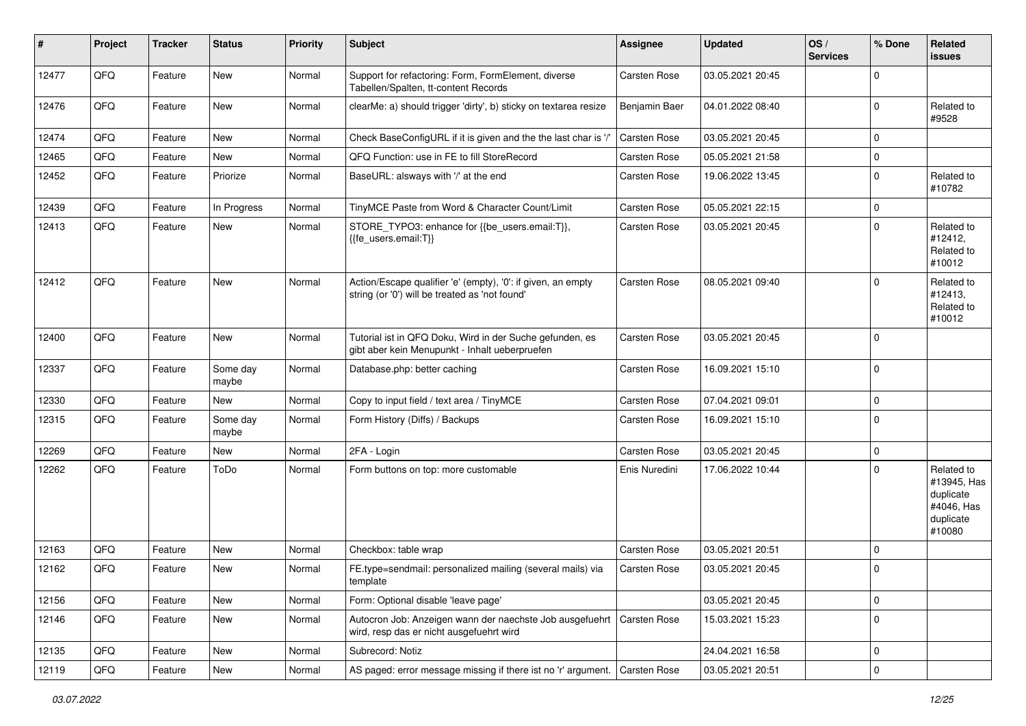| #     | Project | <b>Tracker</b> | <b>Status</b>     | <b>Priority</b> | <b>Subject</b>                                                                                                 | <b>Assignee</b>     | <b>Updated</b>   | OS/<br><b>Services</b> | % Done      | Related<br>issues                                                           |
|-------|---------|----------------|-------------------|-----------------|----------------------------------------------------------------------------------------------------------------|---------------------|------------------|------------------------|-------------|-----------------------------------------------------------------------------|
| 12477 | QFQ     | Feature        | <b>New</b>        | Normal          | Support for refactoring: Form, FormElement, diverse<br>Tabellen/Spalten, tt-content Records                    | Carsten Rose        | 03.05.2021 20:45 |                        | $\mathbf 0$ |                                                                             |
| 12476 | QFQ     | Feature        | <b>New</b>        | Normal          | clearMe: a) should trigger 'dirty', b) sticky on textarea resize                                               | Benjamin Baer       | 04.01.2022 08:40 |                        | $\Omega$    | Related to<br>#9528                                                         |
| 12474 | QFQ     | Feature        | <b>New</b>        | Normal          | Check BaseConfigURL if it is given and the the last char is '/'                                                | Carsten Rose        | 03.05.2021 20:45 |                        | $\mathbf 0$ |                                                                             |
| 12465 | QFQ     | Feature        | <b>New</b>        | Normal          | QFQ Function: use in FE to fill StoreRecord                                                                    | Carsten Rose        | 05.05.2021 21:58 |                        | $\mathbf 0$ |                                                                             |
| 12452 | QFQ     | Feature        | Priorize          | Normal          | BaseURL: alsways with '/' at the end                                                                           | Carsten Rose        | 19.06.2022 13:45 |                        | $\mathbf 0$ | Related to<br>#10782                                                        |
| 12439 | QFQ     | Feature        | In Progress       | Normal          | TinyMCE Paste from Word & Character Count/Limit                                                                | Carsten Rose        | 05.05.2021 22:15 |                        | $\mathbf 0$ |                                                                             |
| 12413 | QFQ     | Feature        | <b>New</b>        | Normal          | STORE_TYPO3: enhance for {{be_users.email:T}},<br>{{fe users.email:T}}                                         | Carsten Rose        | 03.05.2021 20:45 |                        | $\mathbf 0$ | Related to<br>#12412,<br>Related to<br>#10012                               |
| 12412 | QFQ     | Feature        | New               | Normal          | Action/Escape qualifier 'e' (empty), '0': if given, an empty<br>string (or '0') will be treated as 'not found' | <b>Carsten Rose</b> | 08.05.2021 09:40 |                        | $\Omega$    | Related to<br>#12413,<br>Related to<br>#10012                               |
| 12400 | QFQ     | Feature        | <b>New</b>        | Normal          | Tutorial ist in QFQ Doku, Wird in der Suche gefunden, es<br>gibt aber kein Menupunkt - Inhalt ueberpruefen     | <b>Carsten Rose</b> | 03.05.2021 20:45 |                        | $\mathbf 0$ |                                                                             |
| 12337 | QFQ     | Feature        | Some day<br>maybe | Normal          | Database.php: better caching                                                                                   | Carsten Rose        | 16.09.2021 15:10 |                        | 0           |                                                                             |
| 12330 | QFQ     | Feature        | <b>New</b>        | Normal          | Copy to input field / text area / TinyMCE                                                                      | Carsten Rose        | 07.04.2021 09:01 |                        | $\mathbf 0$ |                                                                             |
| 12315 | QFQ     | Feature        | Some day<br>maybe | Normal          | Form History (Diffs) / Backups                                                                                 | Carsten Rose        | 16.09.2021 15:10 |                        | $\mathbf 0$ |                                                                             |
| 12269 | QFQ     | Feature        | New               | Normal          | 2FA - Login                                                                                                    | Carsten Rose        | 03.05.2021 20:45 |                        | $\Omega$    |                                                                             |
| 12262 | QFQ     | Feature        | ToDo              | Normal          | Form buttons on top: more customable                                                                           | Enis Nuredini       | 17.06.2022 10:44 |                        | $\Omega$    | Related to<br>#13945, Has<br>duplicate<br>#4046, Has<br>duplicate<br>#10080 |
| 12163 | QFQ     | Feature        | <b>New</b>        | Normal          | Checkbox: table wrap                                                                                           | Carsten Rose        | 03.05.2021 20:51 |                        | $\mathbf 0$ |                                                                             |
| 12162 | QFQ     | Feature        | New               | Normal          | FE.type=sendmail: personalized mailing (several mails) via<br>template                                         | Carsten Rose        | 03.05.2021 20:45 |                        | $\mathbf 0$ |                                                                             |
| 12156 | QFQ     | Feature        | <b>New</b>        | Normal          | Form: Optional disable 'leave page'                                                                            |                     | 03.05.2021 20:45 |                        | $\mathbf 0$ |                                                                             |
| 12146 | QFQ     | Feature        | New               | Normal          | Autocron Job: Anzeigen wann der naechste Job ausgefuehrt<br>wird, resp das er nicht ausgefuehrt wird           | Carsten Rose        | 15.03.2021 15:23 |                        | $\mathbf 0$ |                                                                             |
| 12135 | QFQ     | Feature        | New               | Normal          | Subrecord: Notiz                                                                                               |                     | 24.04.2021 16:58 |                        | 0           |                                                                             |
| 12119 | QFQ     | Feature        | New               | Normal          | AS paged: error message missing if there ist no 'r' argument.                                                  | Carsten Rose        | 03.05.2021 20:51 |                        | $\mathbf 0$ |                                                                             |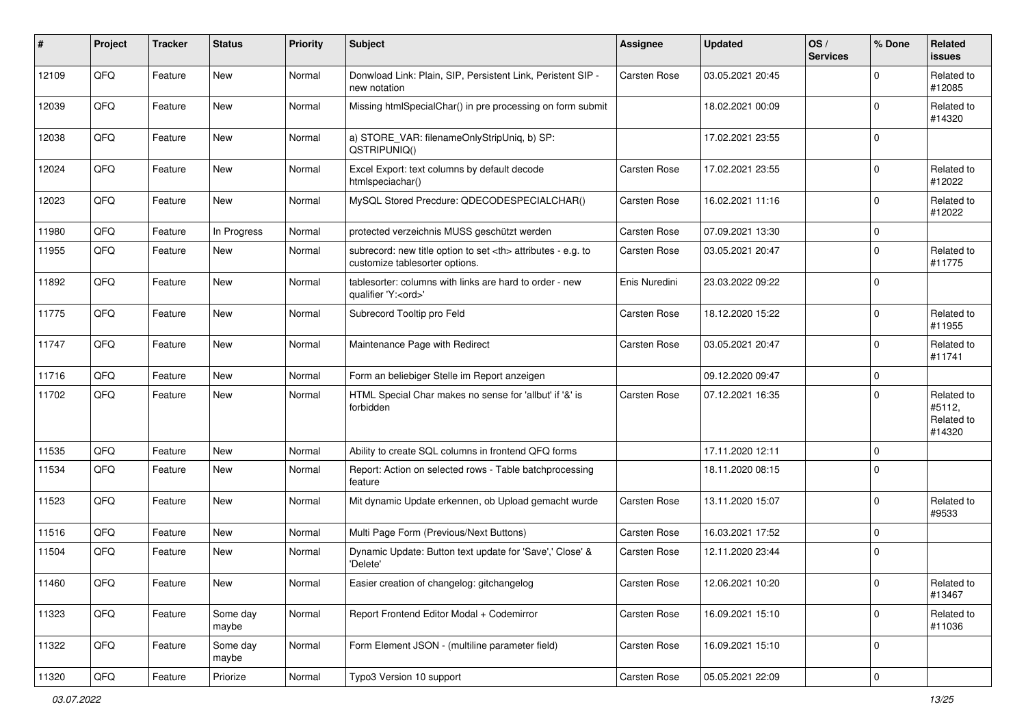| #     | Project | <b>Tracker</b> | <b>Status</b>     | <b>Priority</b> | <b>Subject</b>                                                                                       | <b>Assignee</b>                                        | <b>Updated</b>   | OS/<br><b>Services</b> | % Done      | Related<br><b>issues</b>                     |                      |
|-------|---------|----------------|-------------------|-----------------|------------------------------------------------------------------------------------------------------|--------------------------------------------------------|------------------|------------------------|-------------|----------------------------------------------|----------------------|
| 12109 | QFQ     | Feature        | <b>New</b>        | Normal          | Donwload Link: Plain, SIP, Persistent Link, Peristent SIP -<br>new notation                          | Carsten Rose                                           | 03.05.2021 20:45 |                        | $\Omega$    | Related to<br>#12085                         |                      |
| 12039 | QFQ     | Feature        | New               | Normal          | Missing htmlSpecialChar() in pre processing on form submit                                           |                                                        | 18.02.2021 00:09 |                        | $\mathbf 0$ | Related to<br>#14320                         |                      |
| 12038 | QFQ     | Feature        | New               | Normal          | a) STORE_VAR: filenameOnlyStripUniq, b) SP:<br>QSTRIPUNIQ()                                          |                                                        | 17.02.2021 23:55 |                        | $\mathbf 0$ |                                              |                      |
| 12024 | QFQ     | Feature        | New               | Normal          | Excel Export: text columns by default decode<br>htmlspeciachar()                                     | <b>Carsten Rose</b>                                    | 17.02.2021 23:55 |                        | $\mathbf 0$ | Related to<br>#12022                         |                      |
| 12023 | QFQ     | Feature        | New               | Normal          | MySQL Stored Precdure: QDECODESPECIALCHAR()                                                          | Carsten Rose                                           | 16.02.2021 11:16 |                        | $\mathbf 0$ | Related to<br>#12022                         |                      |
| 11980 | QFQ     | Feature        | In Progress       | Normal          | protected verzeichnis MUSS geschützt werden                                                          | Carsten Rose                                           | 07.09.2021 13:30 |                        | $\mathbf 0$ |                                              |                      |
| 11955 | QFQ     | Feature        | New               | Normal          | subrecord: new title option to set <th> attributes - e.g. to<br/>customize tablesorter options.</th> | attributes - e.g. to<br>customize tablesorter options. | Carsten Rose     | 03.05.2021 20:47       |             | $\mathbf 0$                                  | Related to<br>#11775 |
| 11892 | QFQ     | Feature        | New               | Normal          | tablesorter: columns with links are hard to order - new<br>qualifier 'Y: <ord>'</ord>                | Enis Nuredini                                          | 23.03.2022 09:22 |                        | $\mathbf 0$ |                                              |                      |
| 11775 | QFQ     | Feature        | New               | Normal          | Subrecord Tooltip pro Feld                                                                           | <b>Carsten Rose</b>                                    | 18.12.2020 15:22 |                        | $\mathbf 0$ | Related to<br>#11955                         |                      |
| 11747 | QFQ     | Feature        | New               | Normal          | Maintenance Page with Redirect                                                                       | Carsten Rose                                           | 03.05.2021 20:47 |                        | $\mathbf 0$ | Related to<br>#11741                         |                      |
| 11716 | QFQ     | Feature        | <b>New</b>        | Normal          | Form an beliebiger Stelle im Report anzeigen                                                         |                                                        | 09.12.2020 09:47 |                        | $\mathbf 0$ |                                              |                      |
| 11702 | QFQ     | Feature        | New               | Normal          | HTML Special Char makes no sense for 'allbut' if '&' is<br>forbidden                                 | <b>Carsten Rose</b>                                    | 07.12.2021 16:35 |                        | $\mathbf 0$ | Related to<br>#5112,<br>Related to<br>#14320 |                      |
| 11535 | QFQ     | Feature        | New               | Normal          | Ability to create SQL columns in frontend QFQ forms                                                  |                                                        | 17.11.2020 12:11 |                        | $\mathbf 0$ |                                              |                      |
| 11534 | QFQ     | Feature        | New               | Normal          | Report: Action on selected rows - Table batchprocessing<br>feature                                   |                                                        | 18.11.2020 08:15 |                        | $\mathbf 0$ |                                              |                      |
| 11523 | QFQ     | Feature        | New               | Normal          | Mit dynamic Update erkennen, ob Upload gemacht wurde                                                 | Carsten Rose                                           | 13.11.2020 15:07 |                        | $\mathbf 0$ | Related to<br>#9533                          |                      |
| 11516 | QFQ     | Feature        | New               | Normal          | Multi Page Form (Previous/Next Buttons)                                                              | Carsten Rose                                           | 16.03.2021 17:52 |                        | $\mathbf 0$ |                                              |                      |
| 11504 | QFQ     | Feature        | New               | Normal          | Dynamic Update: Button text update for 'Save',' Close' &<br>'Delete'                                 | Carsten Rose                                           | 12.11.2020 23:44 |                        | $\mathbf 0$ |                                              |                      |
| 11460 | QFQ     | Feature        | New               | Normal          | Easier creation of changelog: gitchangelog                                                           | Carsten Rose                                           | 12.06.2021 10:20 |                        | $\pmb{0}$   | Related to<br>#13467                         |                      |
| 11323 | QFQ     | Feature        | Some day<br>maybe | Normal          | Report Frontend Editor Modal + Codemirror                                                            | Carsten Rose                                           | 16.09.2021 15:10 |                        | $\mathbf 0$ | Related to<br>#11036                         |                      |
| 11322 | QFQ     | Feature        | Some day<br>maybe | Normal          | Form Element JSON - (multiline parameter field)                                                      | Carsten Rose                                           | 16.09.2021 15:10 |                        | $\mathbf 0$ |                                              |                      |
| 11320 | QFQ     | Feature        | Priorize          | Normal          | Typo3 Version 10 support                                                                             | Carsten Rose                                           | 05.05.2021 22:09 |                        | 0           |                                              |                      |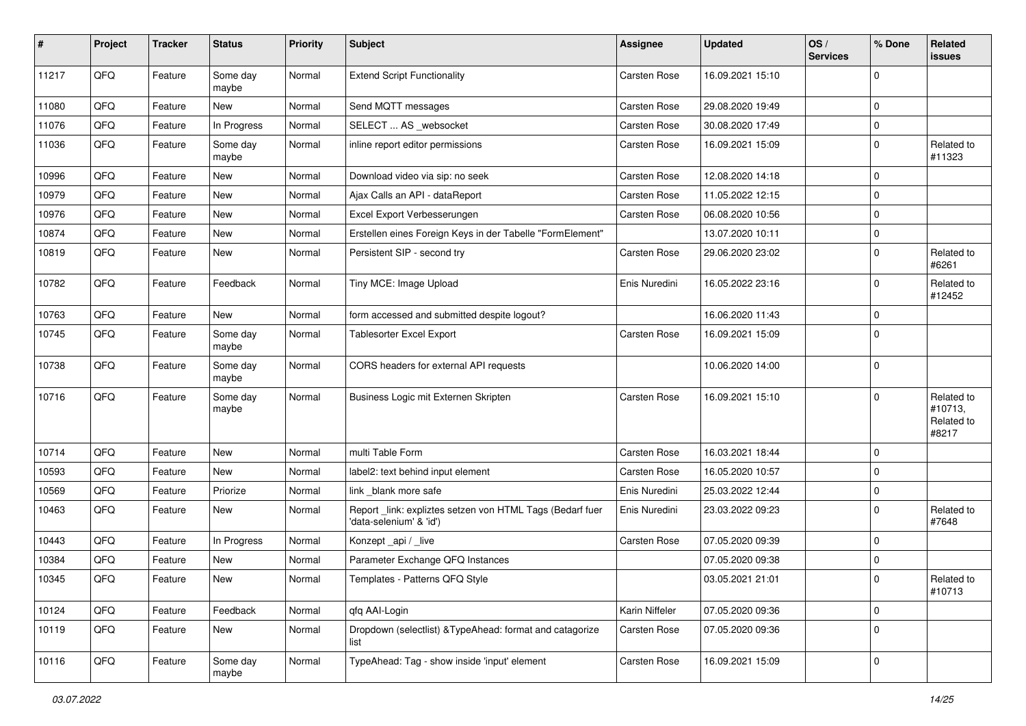| #     | Project        | <b>Tracker</b> | <b>Status</b>     | <b>Priority</b> | Subject                                                                             | <b>Assignee</b>     | <b>Updated</b>   | OS/<br><b>Services</b> | % Done      | Related<br><b>issues</b>                     |
|-------|----------------|----------------|-------------------|-----------------|-------------------------------------------------------------------------------------|---------------------|------------------|------------------------|-------------|----------------------------------------------|
| 11217 | QFQ            | Feature        | Some day<br>maybe | Normal          | <b>Extend Script Functionality</b>                                                  | Carsten Rose        | 16.09.2021 15:10 |                        | $\mathbf 0$ |                                              |
| 11080 | QFQ            | Feature        | New               | Normal          | Send MQTT messages                                                                  | Carsten Rose        | 29.08.2020 19:49 |                        | $\mathbf 0$ |                                              |
| 11076 | QFQ            | Feature        | In Progress       | Normal          | SELECT  AS _websocket                                                               | Carsten Rose        | 30.08.2020 17:49 |                        | $\mathbf 0$ |                                              |
| 11036 | QFQ            | Feature        | Some day<br>maybe | Normal          | inline report editor permissions                                                    | Carsten Rose        | 16.09.2021 15:09 |                        | $\mathbf 0$ | Related to<br>#11323                         |
| 10996 | QFQ            | Feature        | New               | Normal          | Download video via sip: no seek                                                     | Carsten Rose        | 12.08.2020 14:18 |                        | $\mathbf 0$ |                                              |
| 10979 | QFQ            | Feature        | New               | Normal          | Ajax Calls an API - dataReport                                                      | Carsten Rose        | 11.05.2022 12:15 |                        | $\mathbf 0$ |                                              |
| 10976 | QFQ            | Feature        | New               | Normal          | Excel Export Verbesserungen                                                         | Carsten Rose        | 06.08.2020 10:56 |                        | $\mathbf 0$ |                                              |
| 10874 | QFQ            | Feature        | New               | Normal          | Erstellen eines Foreign Keys in der Tabelle "FormElement"                           |                     | 13.07.2020 10:11 |                        | $\mathbf 0$ |                                              |
| 10819 | QFQ            | Feature        | New               | Normal          | Persistent SIP - second try                                                         | Carsten Rose        | 29.06.2020 23:02 |                        | $\mathbf 0$ | Related to<br>#6261                          |
| 10782 | QFQ            | Feature        | Feedback          | Normal          | Tiny MCE: Image Upload                                                              | Enis Nuredini       | 16.05.2022 23:16 |                        | $\mathbf 0$ | Related to<br>#12452                         |
| 10763 | QFQ            | Feature        | New               | Normal          | form accessed and submitted despite logout?                                         |                     | 16.06.2020 11:43 |                        | $\mathbf 0$ |                                              |
| 10745 | QFQ            | Feature        | Some day<br>maybe | Normal          | <b>Tablesorter Excel Export</b>                                                     | Carsten Rose        | 16.09.2021 15:09 |                        | $\Omega$    |                                              |
| 10738 | QFQ            | Feature        | Some day<br>maybe | Normal          | CORS headers for external API requests                                              |                     | 10.06.2020 14:00 |                        | $\mathbf 0$ |                                              |
| 10716 | QFQ            | Feature        | Some day<br>maybe | Normal          | Business Logic mit Externen Skripten                                                | <b>Carsten Rose</b> | 16.09.2021 15:10 |                        | $\mathbf 0$ | Related to<br>#10713,<br>Related to<br>#8217 |
| 10714 | QFQ            | Feature        | New               | Normal          | multi Table Form                                                                    | Carsten Rose        | 16.03.2021 18:44 |                        | $\mathbf 0$ |                                              |
| 10593 | QFQ            | Feature        | New               | Normal          | label2: text behind input element                                                   | Carsten Rose        | 16.05.2020 10:57 |                        | $\mathbf 0$ |                                              |
| 10569 | QFQ            | Feature        | Priorize          | Normal          | link _blank more safe                                                               | Enis Nuredini       | 25.03.2022 12:44 |                        | $\mathbf 0$ |                                              |
| 10463 | QFQ            | Feature        | New               | Normal          | Report_link: expliztes setzen von HTML Tags (Bedarf fuer<br>'data-selenium' & 'id') | Enis Nuredini       | 23.03.2022 09:23 |                        | $\Omega$    | Related to<br>#7648                          |
| 10443 | QFQ            | Feature        | In Progress       | Normal          | Konzept_api / _live                                                                 | Carsten Rose        | 07.05.2020 09:39 |                        | $\mathbf 0$ |                                              |
| 10384 | QFQ            | Feature        | New               | Normal          | Parameter Exchange QFQ Instances                                                    |                     | 07.05.2020 09:38 |                        | $\mathbf 0$ |                                              |
| 10345 | $\mathsf{QFQ}$ | Feature        | New               | Normal          | Templates - Patterns QFQ Style                                                      |                     | 03.05.2021 21:01 |                        | $\mathbf 0$ | Related to<br>#10713                         |
| 10124 | QFQ            | Feature        | Feedback          | Normal          | qfq AAI-Login                                                                       | Karin Niffeler      | 07.05.2020 09:36 |                        | $\mathbf 0$ |                                              |
| 10119 | QFQ            | Feature        | New               | Normal          | Dropdown (selectlist) & TypeAhead: format and catagorize<br>list                    | Carsten Rose        | 07.05.2020 09:36 |                        | $\mathbf 0$ |                                              |
| 10116 | QFG            | Feature        | Some day<br>maybe | Normal          | TypeAhead: Tag - show inside 'input' element                                        | Carsten Rose        | 16.09.2021 15:09 |                        | 0           |                                              |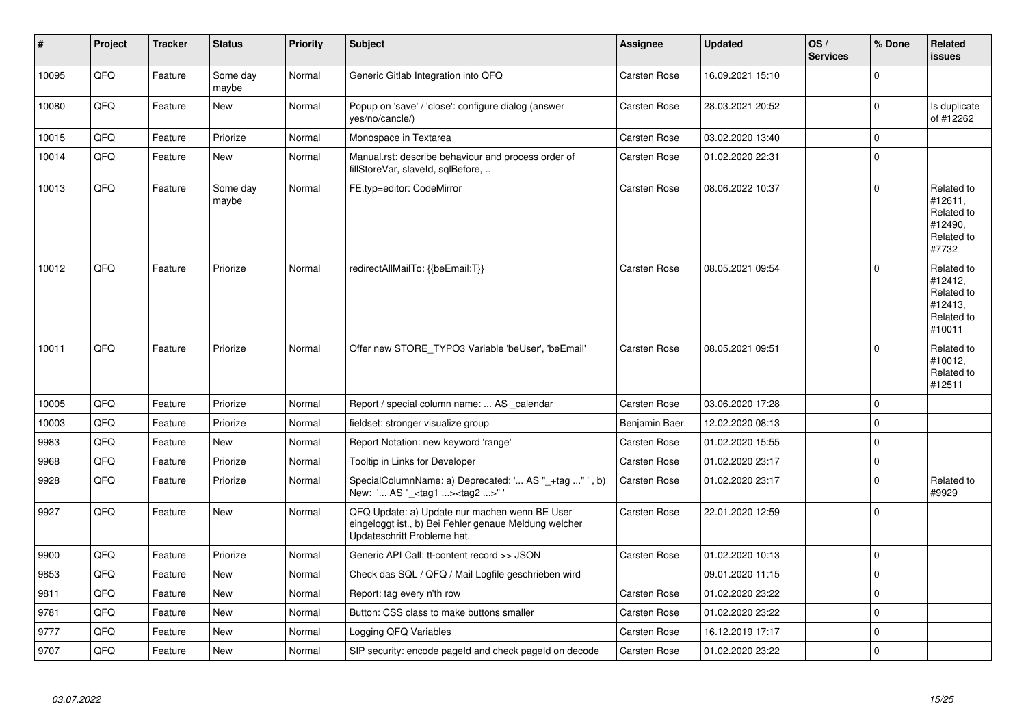| #     | Project | <b>Tracker</b> | <b>Status</b>     | <b>Priority</b> | <b>Subject</b>                                                                                                                        | <b>Assignee</b>     | <b>Updated</b>   | OS/<br><b>Services</b> | % Done      | <b>Related</b><br><b>issues</b>                                        |
|-------|---------|----------------|-------------------|-----------------|---------------------------------------------------------------------------------------------------------------------------------------|---------------------|------------------|------------------------|-------------|------------------------------------------------------------------------|
| 10095 | QFQ     | Feature        | Some day<br>maybe | Normal          | Generic Gitlab Integration into QFQ                                                                                                   | <b>Carsten Rose</b> | 16.09.2021 15:10 |                        | $\Omega$    |                                                                        |
| 10080 | QFQ     | Feature        | New               | Normal          | Popup on 'save' / 'close': configure dialog (answer<br>yes/no/cancle/)                                                                | <b>Carsten Rose</b> | 28.03.2021 20:52 |                        | $\mathbf 0$ | Is duplicate<br>of #12262                                              |
| 10015 | QFQ     | Feature        | Priorize          | Normal          | Monospace in Textarea                                                                                                                 | <b>Carsten Rose</b> | 03.02.2020 13:40 |                        | $\mathbf 0$ |                                                                        |
| 10014 | QFQ     | Feature        | New               | Normal          | Manual.rst: describe behaviour and process order of<br>fillStoreVar, slaveId, sqlBefore,                                              | <b>Carsten Rose</b> | 01.02.2020 22:31 |                        | $\Omega$    |                                                                        |
| 10013 | QFQ     | Feature        | Some day<br>maybe | Normal          | FE.typ=editor: CodeMirror                                                                                                             | Carsten Rose        | 08.06.2022 10:37 |                        | $\Omega$    | Related to<br>#12611,<br>Related to<br>#12490,<br>Related to<br>#7732  |
| 10012 | QFQ     | Feature        | Priorize          | Normal          | redirectAllMailTo: {{beEmail:T}}                                                                                                      | Carsten Rose        | 08.05.2021 09:54 |                        | $\mathbf 0$ | Related to<br>#12412,<br>Related to<br>#12413,<br>Related to<br>#10011 |
| 10011 | QFQ     | Feature        | Priorize          | Normal          | Offer new STORE TYPO3 Variable 'beUser', 'beEmail'                                                                                    | <b>Carsten Rose</b> | 08.05.2021 09:51 |                        | $\mathbf 0$ | Related to<br>#10012,<br>Related to<br>#12511                          |
| 10005 | QFQ     | Feature        | Priorize          | Normal          | Report / special column name:  AS _calendar                                                                                           | <b>Carsten Rose</b> | 03.06.2020 17:28 |                        | $\Omega$    |                                                                        |
| 10003 | QFQ     | Feature        | Priorize          | Normal          | fieldset: stronger visualize group                                                                                                    | Benjamin Baer       | 12.02.2020 08:13 |                        | $\mathbf 0$ |                                                                        |
| 9983  | QFQ     | Feature        | New               | Normal          | Report Notation: new keyword 'range'                                                                                                  | <b>Carsten Rose</b> | 01.02.2020 15:55 |                        | $\mathbf 0$ |                                                                        |
| 9968  | QFQ     | Feature        | Priorize          | Normal          | Tooltip in Links for Developer                                                                                                        | <b>Carsten Rose</b> | 01.02.2020 23:17 |                        | $\mathbf 0$ |                                                                        |
| 9928  | QFQ     | Feature        | Priorize          | Normal          | SpecialColumnName: a) Deprecated: ' AS "_+tag " ', b)<br>New: ' AS " <tag1> <tag2>"</tag2></tag1>                                     | Carsten Rose        | 01.02.2020 23:17 |                        | $\Omega$    | Related to<br>#9929                                                    |
| 9927  | QFQ     | Feature        | <b>New</b>        | Normal          | QFQ Update: a) Update nur machen wenn BE User<br>eingeloggt ist., b) Bei Fehler genaue Meldung welcher<br>Updateschritt Probleme hat. | Carsten Rose        | 22.01.2020 12:59 |                        | $\Omega$    |                                                                        |
| 9900  | QFQ     | Feature        | Priorize          | Normal          | Generic API Call: tt-content record >> JSON                                                                                           | <b>Carsten Rose</b> | 01.02.2020 10:13 |                        | $\mathbf 0$ |                                                                        |
| 9853  | QFQ     | Feature        | New               | Normal          | Check das SQL / QFQ / Mail Logfile geschrieben wird                                                                                   |                     | 09.01.2020 11:15 |                        | $\mathbf 0$ |                                                                        |
| 9811  | QFQ     | Feature        | New               | Normal          | Report: tag every n'th row                                                                                                            | Carsten Rose        | 01.02.2020 23:22 |                        | $\mathbf 0$ |                                                                        |
| 9781  | QFQ     | Feature        | New               | Normal          | Button: CSS class to make buttons smaller                                                                                             | <b>Carsten Rose</b> | 01.02.2020 23:22 |                        | $\mathbf 0$ |                                                                        |
| 9777  | QFQ     | Feature        | <b>New</b>        | Normal          | Logging QFQ Variables                                                                                                                 | Carsten Rose        | 16.12.2019 17:17 |                        | $\mathbf 0$ |                                                                        |
| 9707  | QFQ     | Feature        | New               | Normal          | SIP security: encode pageld and check pageld on decode                                                                                | Carsten Rose        | 01.02.2020 23:22 |                        | $\mathbf 0$ |                                                                        |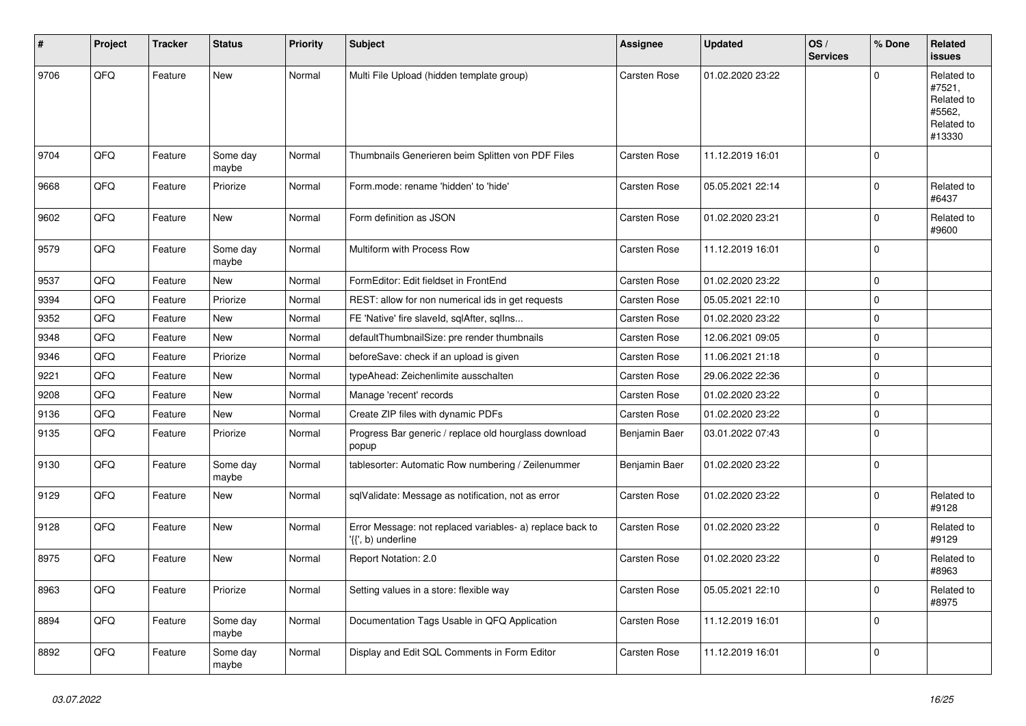| #    | Project | <b>Tracker</b> | <b>Status</b>     | <b>Priority</b> | Subject                                                                         | Assignee            | <b>Updated</b>   | OS/<br><b>Services</b> | % Done      | Related<br><b>issues</b>                                             |
|------|---------|----------------|-------------------|-----------------|---------------------------------------------------------------------------------|---------------------|------------------|------------------------|-------------|----------------------------------------------------------------------|
| 9706 | QFQ     | Feature        | New               | Normal          | Multi File Upload (hidden template group)                                       | <b>Carsten Rose</b> | 01.02.2020 23:22 |                        | $\Omega$    | Related to<br>#7521,<br>Related to<br>#5562,<br>Related to<br>#13330 |
| 9704 | QFQ     | Feature        | Some day<br>maybe | Normal          | Thumbnails Generieren beim Splitten von PDF Files                               | <b>Carsten Rose</b> | 11.12.2019 16:01 |                        | $\mathbf 0$ |                                                                      |
| 9668 | QFQ     | Feature        | Priorize          | Normal          | Form.mode: rename 'hidden' to 'hide'                                            | Carsten Rose        | 05.05.2021 22:14 |                        | $\mathbf 0$ | Related to<br>#6437                                                  |
| 9602 | QFQ     | Feature        | New               | Normal          | Form definition as JSON                                                         | <b>Carsten Rose</b> | 01.02.2020 23:21 |                        | $\mathbf 0$ | Related to<br>#9600                                                  |
| 9579 | QFQ     | Feature        | Some day<br>maybe | Normal          | Multiform with Process Row                                                      | <b>Carsten Rose</b> | 11.12.2019 16:01 |                        | $\mathbf 0$ |                                                                      |
| 9537 | QFQ     | Feature        | <b>New</b>        | Normal          | FormEditor: Edit fieldset in FrontEnd                                           | <b>Carsten Rose</b> | 01.02.2020 23:22 |                        | $\mathbf 0$ |                                                                      |
| 9394 | QFQ     | Feature        | Priorize          | Normal          | REST: allow for non numerical ids in get requests                               | Carsten Rose        | 05.05.2021 22:10 |                        | $\mathbf 0$ |                                                                      |
| 9352 | QFQ     | Feature        | New               | Normal          | FE 'Native' fire slaveld, sqlAfter, sqlIns                                      | Carsten Rose        | 01.02.2020 23:22 |                        | $\mathbf 0$ |                                                                      |
| 9348 | QFQ     | Feature        | <b>New</b>        | Normal          | defaultThumbnailSize: pre render thumbnails                                     | Carsten Rose        | 12.06.2021 09:05 |                        | $\mathbf 0$ |                                                                      |
| 9346 | QFQ     | Feature        | Priorize          | Normal          | beforeSave: check if an upload is given                                         | Carsten Rose        | 11.06.2021 21:18 |                        | $\mathbf 0$ |                                                                      |
| 9221 | QFQ     | Feature        | <b>New</b>        | Normal          | typeAhead: Zeichenlimite ausschalten                                            | Carsten Rose        | 29.06.2022 22:36 |                        | $\mathbf 0$ |                                                                      |
| 9208 | QFQ     | Feature        | New               | Normal          | Manage 'recent' records                                                         | Carsten Rose        | 01.02.2020 23:22 |                        | $\mathbf 0$ |                                                                      |
| 9136 | QFQ     | Feature        | New               | Normal          | Create ZIP files with dynamic PDFs                                              | Carsten Rose        | 01.02.2020 23:22 |                        | $\mathbf 0$ |                                                                      |
| 9135 | QFQ     | Feature        | Priorize          | Normal          | Progress Bar generic / replace old hourglass download<br>popup                  | Benjamin Baer       | 03.01.2022 07:43 |                        | $\Omega$    |                                                                      |
| 9130 | QFQ     | Feature        | Some day<br>maybe | Normal          | tablesorter: Automatic Row numbering / Zeilenummer                              | Benjamin Baer       | 01.02.2020 23:22 |                        | $\mathbf 0$ |                                                                      |
| 9129 | QFQ     | Feature        | New               | Normal          | sqlValidate: Message as notification, not as error                              | <b>Carsten Rose</b> | 01.02.2020 23:22 |                        | $\mathbf 0$ | Related to<br>#9128                                                  |
| 9128 | QFQ     | Feature        | New               | Normal          | Error Message: not replaced variables- a) replace back to<br>'{{', b) underline | Carsten Rose        | 01.02.2020 23:22 |                        | $\mathbf 0$ | Related to<br>#9129                                                  |
| 8975 | QFQ     | Feature        | New               | Normal          | Report Notation: 2.0                                                            | <b>Carsten Rose</b> | 01.02.2020 23:22 |                        | $\mathbf 0$ | Related to<br>#8963                                                  |
| 8963 | QFQ     | Feature        | Priorize          | Normal          | Setting values in a store: flexible way                                         | Carsten Rose        | 05.05.2021 22:10 |                        | 0           | Related to<br>#8975                                                  |
| 8894 | QFQ     | Feature        | Some day<br>maybe | Normal          | Documentation Tags Usable in QFQ Application                                    | Carsten Rose        | 11.12.2019 16:01 |                        | $\mathbf 0$ |                                                                      |
| 8892 | QFQ     | Feature        | Some day<br>maybe | Normal          | Display and Edit SQL Comments in Form Editor                                    | Carsten Rose        | 11.12.2019 16:01 |                        | $\mathbf 0$ |                                                                      |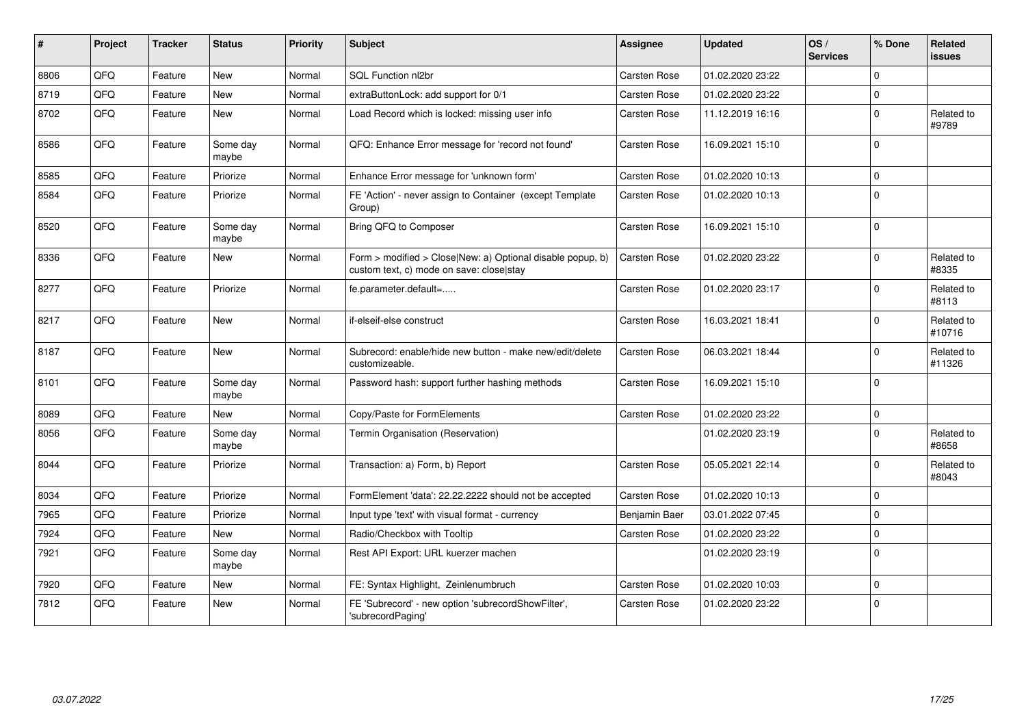| #    | Project | <b>Tracker</b> | <b>Status</b>     | <b>Priority</b> | <b>Subject</b>                                                                                         | Assignee            | <b>Updated</b>   | OS/<br><b>Services</b> | % Done              | Related<br><b>issues</b> |
|------|---------|----------------|-------------------|-----------------|--------------------------------------------------------------------------------------------------------|---------------------|------------------|------------------------|---------------------|--------------------------|
| 8806 | QFQ     | Feature        | New               | Normal          | SQL Function nl2br                                                                                     | Carsten Rose        | 01.02.2020 23:22 |                        | $\Omega$            |                          |
| 8719 | QFQ     | Feature        | New               | Normal          | extraButtonLock: add support for 0/1                                                                   | <b>Carsten Rose</b> | 01.02.2020 23:22 |                        | $\mathbf 0$         |                          |
| 8702 | QFQ     | Feature        | New               | Normal          | Load Record which is locked: missing user info                                                         | Carsten Rose        | 11.12.2019 16:16 |                        | $\Omega$            | Related to<br>#9789      |
| 8586 | QFQ     | Feature        | Some day<br>maybe | Normal          | QFQ: Enhance Error message for 'record not found'                                                      | Carsten Rose        | 16.09.2021 15:10 |                        | $\mathbf 0$         |                          |
| 8585 | QFQ     | Feature        | Priorize          | Normal          | Enhance Error message for 'unknown form'                                                               | <b>Carsten Rose</b> | 01.02.2020 10:13 |                        | $\mathbf 0$         |                          |
| 8584 | QFQ     | Feature        | Priorize          | Normal          | FE 'Action' - never assign to Container (except Template)<br>Group)                                    | Carsten Rose        | 01.02.2020 10:13 |                        | $\Omega$            |                          |
| 8520 | QFQ     | Feature        | Some day<br>maybe | Normal          | Bring QFQ to Composer                                                                                  | Carsten Rose        | 16.09.2021 15:10 |                        | $\mathbf 0$         |                          |
| 8336 | QFQ     | Feature        | New               | Normal          | Form > modified > Close New: a) Optional disable popup, b)<br>custom text, c) mode on save: close stay | <b>Carsten Rose</b> | 01.02.2020 23:22 |                        | $\mathbf 0$         | Related to<br>#8335      |
| 8277 | QFQ     | Feature        | Priorize          | Normal          | fe.parameter.default=                                                                                  | Carsten Rose        | 01.02.2020 23:17 |                        | $\Omega$            | Related to<br>#8113      |
| 8217 | QFQ     | Feature        | New               | Normal          | if-elseif-else construct                                                                               | Carsten Rose        | 16.03.2021 18:41 |                        | $\Omega$            | Related to<br>#10716     |
| 8187 | QFQ     | Feature        | <b>New</b>        | Normal          | Subrecord: enable/hide new button - make new/edit/delete<br>customizeable.                             | Carsten Rose        | 06.03.2021 18:44 |                        | $\Omega$            | Related to<br>#11326     |
| 8101 | QFQ     | Feature        | Some day<br>maybe | Normal          | Password hash: support further hashing methods                                                         | Carsten Rose        | 16.09.2021 15:10 |                        | $\mathbf 0$         |                          |
| 8089 | QFQ     | Feature        | New               | Normal          | Copy/Paste for FormElements                                                                            | <b>Carsten Rose</b> | 01.02.2020 23:22 |                        | $\mathbf 0$         |                          |
| 8056 | QFQ     | Feature        | Some day<br>maybe | Normal          | Termin Organisation (Reservation)                                                                      |                     | 01.02.2020 23:19 |                        | $\Omega$            | Related to<br>#8658      |
| 8044 | QFQ     | Feature        | Priorize          | Normal          | Transaction: a) Form, b) Report                                                                        | Carsten Rose        | 05.05.2021 22:14 |                        | $\mathbf 0$         | Related to<br>#8043      |
| 8034 | QFQ     | Feature        | Priorize          | Normal          | FormElement 'data': 22.22.2222 should not be accepted                                                  | <b>Carsten Rose</b> | 01.02.2020 10:13 |                        | $\Omega$            |                          |
| 7965 | QFQ     | Feature        | Priorize          | Normal          | Input type 'text' with visual format - currency                                                        | Benjamin Baer       | 03.01.2022 07:45 |                        | $\mathbf 0$         |                          |
| 7924 | QFQ     | Feature        | New               | Normal          | Radio/Checkbox with Tooltip                                                                            | Carsten Rose        | 01.02.2020 23:22 |                        | $\mathbf 0$         |                          |
| 7921 | QFQ     | Feature        | Some day<br>maybe | Normal          | Rest API Export: URL kuerzer machen                                                                    |                     | 01.02.2020 23:19 |                        | $\mathbf 0$         |                          |
| 7920 | QFQ     | Feature        | New               | Normal          | FE: Syntax Highlight, Zeinlenumbruch                                                                   | <b>Carsten Rose</b> | 01.02.2020 10:03 |                        | $\mathsf{O}\xspace$ |                          |
| 7812 | QFQ     | Feature        | New               | Normal          | FE 'Subrecord' - new option 'subrecordShowFilter',<br>'subrecordPaging'                                | Carsten Rose        | 01.02.2020 23:22 |                        | $\mathbf 0$         |                          |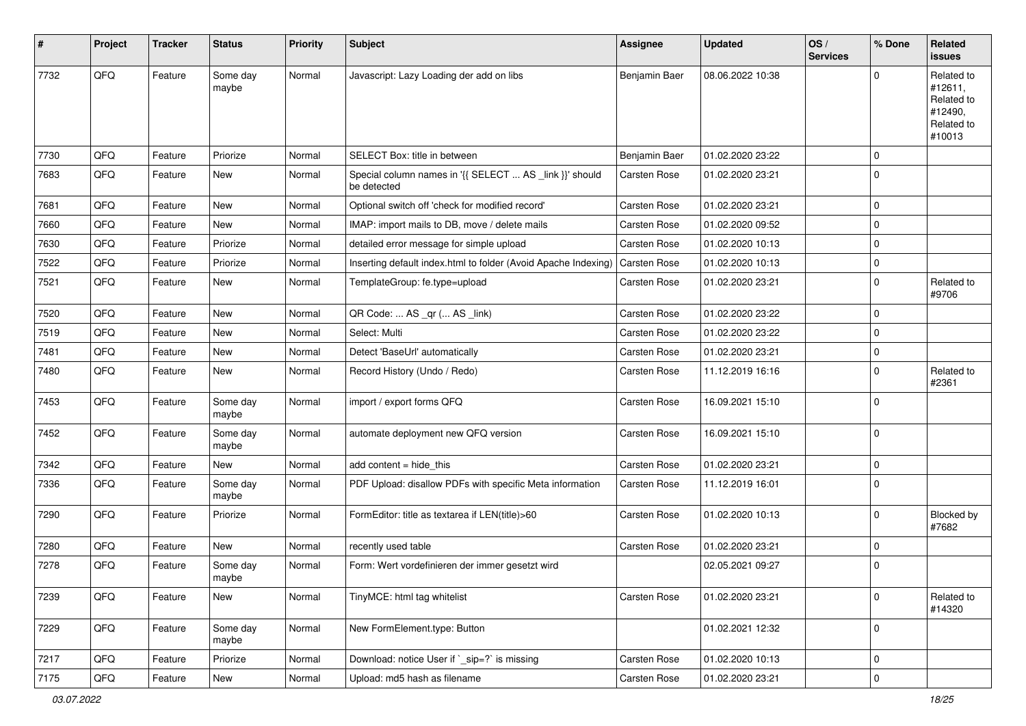| #    | Project | <b>Tracker</b> | <b>Status</b>     | <b>Priority</b> | <b>Subject</b>                                                         | Assignee      | <b>Updated</b>   | OS/<br><b>Services</b> | % Done      | Related<br>issues                                                      |
|------|---------|----------------|-------------------|-----------------|------------------------------------------------------------------------|---------------|------------------|------------------------|-------------|------------------------------------------------------------------------|
| 7732 | QFQ     | Feature        | Some day<br>maybe | Normal          | Javascript: Lazy Loading der add on libs                               | Benjamin Baer | 08.06.2022 10:38 |                        | $\Omega$    | Related to<br>#12611,<br>Related to<br>#12490,<br>Related to<br>#10013 |
| 7730 | QFQ     | Feature        | Priorize          | Normal          | SELECT Box: title in between                                           | Benjamin Baer | 01.02.2020 23:22 |                        | $\mathbf 0$ |                                                                        |
| 7683 | QFQ     | Feature        | New               | Normal          | Special column names in '{{ SELECT  AS _link }}' should<br>be detected | Carsten Rose  | 01.02.2020 23:21 |                        | $\mathbf 0$ |                                                                        |
| 7681 | QFQ     | Feature        | New               | Normal          | Optional switch off 'check for modified record'                        | Carsten Rose  | 01.02.2020 23:21 |                        | $\mathbf 0$ |                                                                        |
| 7660 | QFQ     | Feature        | New               | Normal          | IMAP: import mails to DB, move / delete mails                          | Carsten Rose  | 01.02.2020 09:52 |                        | $\mathbf 0$ |                                                                        |
| 7630 | QFQ     | Feature        | Priorize          | Normal          | detailed error message for simple upload                               | Carsten Rose  | 01.02.2020 10:13 |                        | $\mathbf 0$ |                                                                        |
| 7522 | QFQ     | Feature        | Priorize          | Normal          | Inserting default index.html to folder (Avoid Apache Indexing)         | Carsten Rose  | 01.02.2020 10:13 |                        | $\mathbf 0$ |                                                                        |
| 7521 | QFQ     | Feature        | New               | Normal          | TemplateGroup: fe.type=upload                                          | Carsten Rose  | 01.02.2020 23:21 |                        | $\mathbf 0$ | Related to<br>#9706                                                    |
| 7520 | QFQ     | Feature        | <b>New</b>        | Normal          | QR Code:  AS _qr ( AS _link)                                           | Carsten Rose  | 01.02.2020 23:22 |                        | $\mathbf 0$ |                                                                        |
| 7519 | QFQ     | Feature        | New               | Normal          | Select: Multi                                                          | Carsten Rose  | 01.02.2020 23:22 |                        | $\mathbf 0$ |                                                                        |
| 7481 | QFQ     | Feature        | New               | Normal          | Detect 'BaseUrl' automatically                                         | Carsten Rose  | 01.02.2020 23:21 |                        | $\mathbf 0$ |                                                                        |
| 7480 | QFQ     | Feature        | New               | Normal          | Record History (Undo / Redo)                                           | Carsten Rose  | 11.12.2019 16:16 |                        | $\mathbf 0$ | Related to<br>#2361                                                    |
| 7453 | QFQ     | Feature        | Some day<br>maybe | Normal          | import / export forms QFQ                                              | Carsten Rose  | 16.09.2021 15:10 |                        | $\mathbf 0$ |                                                                        |
| 7452 | QFQ     | Feature        | Some day<br>maybe | Normal          | automate deployment new QFQ version                                    | Carsten Rose  | 16.09.2021 15:10 |                        | $\mathbf 0$ |                                                                        |
| 7342 | QFQ     | Feature        | New               | Normal          | add content $=$ hide this                                              | Carsten Rose  | 01.02.2020 23:21 |                        | $\mathbf 0$ |                                                                        |
| 7336 | QFQ     | Feature        | Some day<br>maybe | Normal          | PDF Upload: disallow PDFs with specific Meta information               | Carsten Rose  | 11.12.2019 16:01 |                        | $\mathbf 0$ |                                                                        |
| 7290 | QFQ     | Feature        | Priorize          | Normal          | FormEditor: title as textarea if LEN(title)>60                         | Carsten Rose  | 01.02.2020 10:13 |                        | $\mathbf 0$ | Blocked by<br>#7682                                                    |
| 7280 | QFQ     | Feature        | New               | Normal          | recently used table                                                    | Carsten Rose  | 01.02.2020 23:21 |                        | $\mathbf 0$ |                                                                        |
| 7278 | QFQ     | Feature        | Some day<br>maybe | Normal          | Form: Wert vordefinieren der immer gesetzt wird                        |               | 02.05.2021 09:27 |                        | $\mathbf 0$ |                                                                        |
| 7239 | QFQ     | Feature        | New               | Normal          | TinyMCE: html tag whitelist                                            | Carsten Rose  | 01.02.2020 23:21 |                        | $\mathbf 0$ | Related to<br>#14320                                                   |
| 7229 | QFQ     | Feature        | Some day<br>maybe | Normal          | New FormElement.type: Button                                           |               | 01.02.2021 12:32 |                        | $\mathbf 0$ |                                                                        |
| 7217 | QFQ     | Feature        | Priorize          | Normal          | Download: notice User if `_sip=?` is missing                           | Carsten Rose  | 01.02.2020 10:13 |                        | $\mathbf 0$ |                                                                        |
| 7175 | QFQ     | Feature        | New               | Normal          | Upload: md5 hash as filename                                           | Carsten Rose  | 01.02.2020 23:21 |                        | $\mathbf 0$ |                                                                        |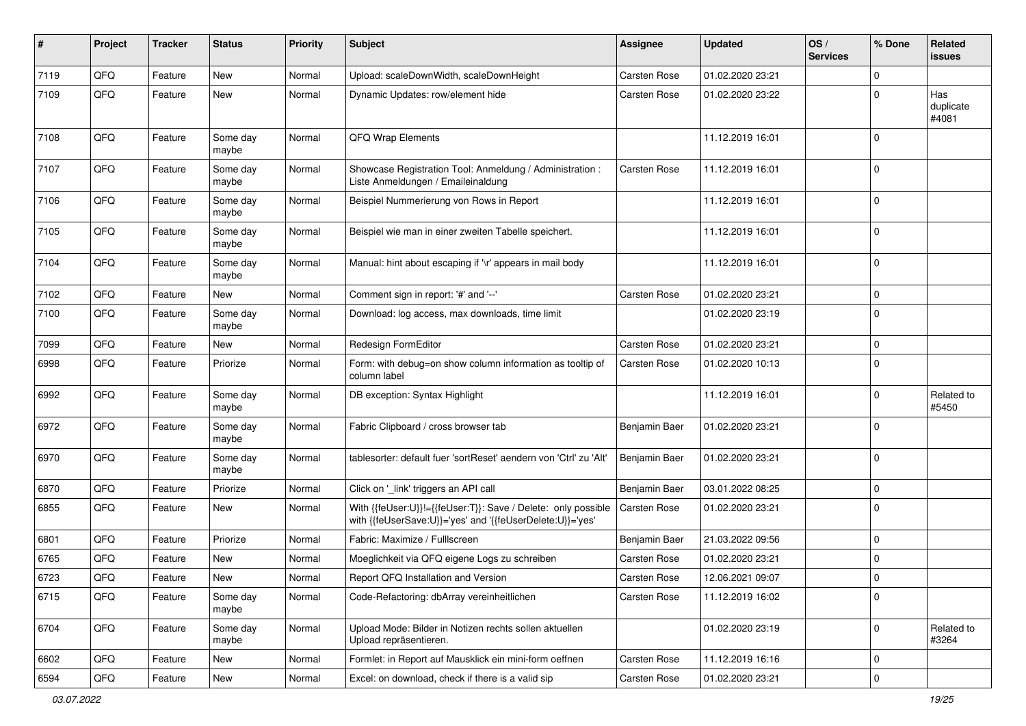| #    | Project | <b>Tracker</b> | <b>Status</b>     | <b>Priority</b> | <b>Subject</b>                                                                                                             | <b>Assignee</b>     | <b>Updated</b>   | OS/<br><b>Services</b> | % Done      | Related<br>issues         |
|------|---------|----------------|-------------------|-----------------|----------------------------------------------------------------------------------------------------------------------------|---------------------|------------------|------------------------|-------------|---------------------------|
| 7119 | QFQ     | Feature        | New               | Normal          | Upload: scaleDownWidth, scaleDownHeight                                                                                    | Carsten Rose        | 01.02.2020 23:21 |                        | $\Omega$    |                           |
| 7109 | QFQ     | Feature        | New               | Normal          | Dynamic Updates: row/element hide                                                                                          | Carsten Rose        | 01.02.2020 23:22 |                        | $\Omega$    | Has<br>duplicate<br>#4081 |
| 7108 | QFQ     | Feature        | Some day<br>maybe | Normal          | QFQ Wrap Elements                                                                                                          |                     | 11.12.2019 16:01 |                        | $\Omega$    |                           |
| 7107 | QFQ     | Feature        | Some day<br>maybe | Normal          | Showcase Registration Tool: Anmeldung / Administration :<br>Liste Anmeldungen / Emaileinaldung                             | Carsten Rose        | 11.12.2019 16:01 |                        | $\mathbf 0$ |                           |
| 7106 | QFQ     | Feature        | Some day<br>maybe | Normal          | Beispiel Nummerierung von Rows in Report                                                                                   |                     | 11.12.2019 16:01 |                        | l O         |                           |
| 7105 | QFQ     | Feature        | Some day<br>maybe | Normal          | Beispiel wie man in einer zweiten Tabelle speichert.                                                                       |                     | 11.12.2019 16:01 |                        | $\Omega$    |                           |
| 7104 | QFQ     | Feature        | Some day<br>maybe | Normal          | Manual: hint about escaping if '\r' appears in mail body                                                                   |                     | 11.12.2019 16:01 |                        | I٥          |                           |
| 7102 | QFQ     | Feature        | New               | Normal          | Comment sign in report: '#' and '--'                                                                                       | <b>Carsten Rose</b> | 01.02.2020 23:21 |                        | $\mathbf 0$ |                           |
| 7100 | QFQ     | Feature        | Some day<br>maybe | Normal          | Download: log access, max downloads, time limit                                                                            |                     | 01.02.2020 23:19 |                        | $\mathbf 0$ |                           |
| 7099 | QFQ     | Feature        | New               | Normal          | Redesign FormEditor                                                                                                        | Carsten Rose        | 01.02.2020 23:21 |                        | $\mathbf 0$ |                           |
| 6998 | QFQ     | Feature        | Priorize          | Normal          | Form: with debug=on show column information as tooltip of<br>column label                                                  | Carsten Rose        | 01.02.2020 10:13 |                        | $\Omega$    |                           |
| 6992 | QFQ     | Feature        | Some day<br>maybe | Normal          | DB exception: Syntax Highlight                                                                                             |                     | 11.12.2019 16:01 |                        | $\mathbf 0$ | Related to<br>#5450       |
| 6972 | QFQ     | Feature        | Some day<br>maybe | Normal          | Fabric Clipboard / cross browser tab                                                                                       | Benjamin Baer       | 01.02.2020 23:21 |                        | l O         |                           |
| 6970 | QFQ     | Feature        | Some day<br>maybe | Normal          | tablesorter: default fuer 'sortReset' aendern von 'Ctrl' zu 'Alt'                                                          | Benjamin Baer       | 01.02.2020 23:21 |                        | l 0         |                           |
| 6870 | QFQ     | Feature        | Priorize          | Normal          | Click on '_link' triggers an API call                                                                                      | Benjamin Baer       | 03.01.2022 08:25 |                        | $\mathbf 0$ |                           |
| 6855 | QFQ     | Feature        | New               | Normal          | With {{feUser:U}}!={{feUser:T}}: Save / Delete: only possible<br>with {{feUserSave:U}}='yes' and '{{feUserDelete:U}}='yes' | Carsten Rose        | 01.02.2020 23:21 |                        | l 0         |                           |
| 6801 | QFQ     | Feature        | Priorize          | Normal          | Fabric: Maximize / FullIscreen                                                                                             | Benjamin Baer       | 21.03.2022 09:56 |                        | $\Omega$    |                           |
| 6765 | QFQ     | Feature        | <b>New</b>        | Normal          | Moeglichkeit via QFQ eigene Logs zu schreiben                                                                              | <b>Carsten Rose</b> | 01.02.2020 23:21 |                        | $\mathbf 0$ |                           |
| 6723 | QFQ     | Feature        | New               | Normal          | Report QFQ Installation and Version                                                                                        | Carsten Rose        | 12.06.2021 09:07 |                        | I٥          |                           |
| 6715 | QFQ     | Feature        | Some day<br>maybe | Normal          | Code-Refactoring: dbArray vereinheitlichen                                                                                 | Carsten Rose        | 11.12.2019 16:02 |                        | 0           |                           |
| 6704 | QFQ     | Feature        | Some day<br>maybe | Normal          | Upload Mode: Bilder in Notizen rechts sollen aktuellen<br>Upload repräsentieren.                                           |                     | 01.02.2020 23:19 |                        | $\mathbf 0$ | Related to<br>#3264       |
| 6602 | QFQ     | Feature        | New               | Normal          | Formlet: in Report auf Mausklick ein mini-form oeffnen                                                                     | Carsten Rose        | 11.12.2019 16:16 |                        | 0           |                           |
| 6594 | QFQ     | Feature        | New               | Normal          | Excel: on download, check if there is a valid sip                                                                          | Carsten Rose        | 01.02.2020 23:21 |                        | $\mathbf 0$ |                           |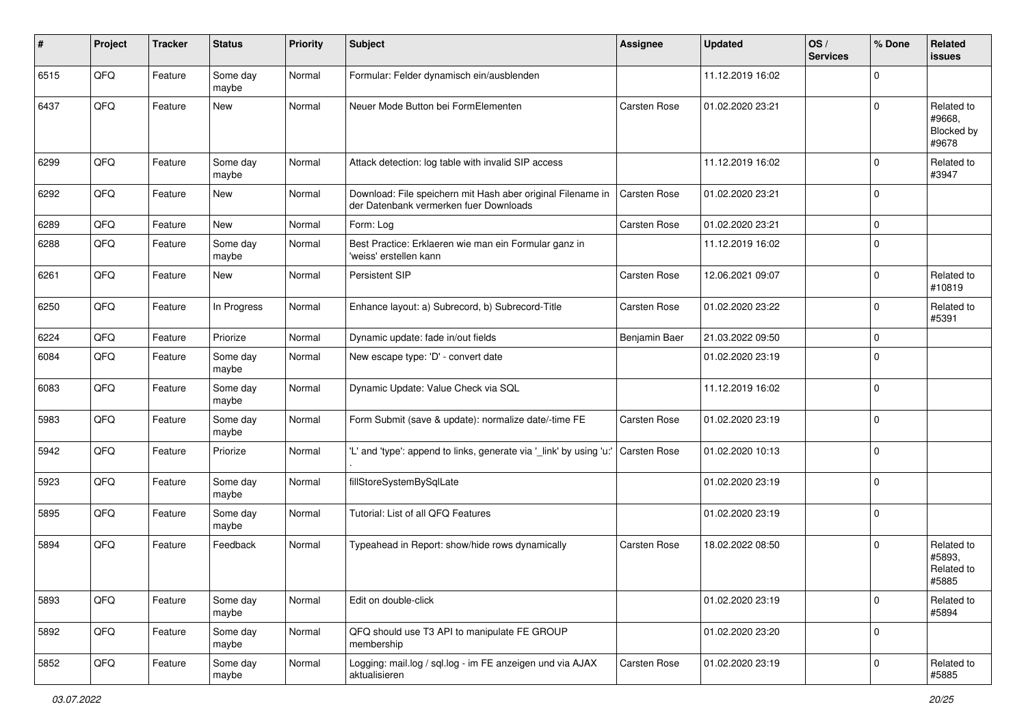| ∦    | Project | <b>Tracker</b> | <b>Status</b>     | <b>Priority</b> | <b>Subject</b>                                                                                        | Assignee            | <b>Updated</b>   | OS/<br><b>Services</b> | % Done              | Related<br><b>issues</b>                    |
|------|---------|----------------|-------------------|-----------------|-------------------------------------------------------------------------------------------------------|---------------------|------------------|------------------------|---------------------|---------------------------------------------|
| 6515 | QFQ     | Feature        | Some day<br>maybe | Normal          | Formular: Felder dynamisch ein/ausblenden                                                             |                     | 11.12.2019 16:02 |                        | $\mathbf 0$         |                                             |
| 6437 | QFQ     | Feature        | New               | Normal          | Neuer Mode Button bei FormElementen                                                                   | Carsten Rose        | 01.02.2020 23:21 |                        | $\mathbf 0$         | Related to<br>#9668,<br>Blocked by<br>#9678 |
| 6299 | QFQ     | Feature        | Some day<br>maybe | Normal          | Attack detection: log table with invalid SIP access                                                   |                     | 11.12.2019 16:02 |                        | $\mathbf 0$         | Related to<br>#3947                         |
| 6292 | QFQ     | Feature        | New               | Normal          | Download: File speichern mit Hash aber original Filename in<br>der Datenbank vermerken fuer Downloads | <b>Carsten Rose</b> | 01.02.2020 23:21 |                        | $\mathbf 0$         |                                             |
| 6289 | QFQ     | Feature        | <b>New</b>        | Normal          | Form: Log                                                                                             | Carsten Rose        | 01.02.2020 23:21 |                        | $\mathbf 0$         |                                             |
| 6288 | QFQ     | Feature        | Some day<br>maybe | Normal          | Best Practice: Erklaeren wie man ein Formular ganz in<br>'weiss' erstellen kann                       |                     | 11.12.2019 16:02 |                        | $\mathbf 0$         |                                             |
| 6261 | QFQ     | Feature        | New               | Normal          | Persistent SIP                                                                                        | Carsten Rose        | 12.06.2021 09:07 |                        | $\mathbf 0$         | Related to<br>#10819                        |
| 6250 | QFQ     | Feature        | In Progress       | Normal          | Enhance layout: a) Subrecord, b) Subrecord-Title                                                      | Carsten Rose        | 01.02.2020 23:22 |                        | $\mathbf 0$         | Related to<br>#5391                         |
| 6224 | QFQ     | Feature        | Priorize          | Normal          | Dynamic update: fade in/out fields                                                                    | Benjamin Baer       | 21.03.2022 09:50 |                        | $\mathbf 0$         |                                             |
| 6084 | QFQ     | Feature        | Some day<br>maybe | Normal          | New escape type: 'D' - convert date                                                                   |                     | 01.02.2020 23:19 |                        | $\mathbf 0$         |                                             |
| 6083 | QFQ     | Feature        | Some day<br>maybe | Normal          | Dynamic Update: Value Check via SQL                                                                   |                     | 11.12.2019 16:02 |                        | $\mathbf 0$         |                                             |
| 5983 | QFQ     | Feature        | Some day<br>maybe | Normal          | Form Submit (save & update): normalize date/-time FE                                                  | Carsten Rose        | 01.02.2020 23:19 |                        | $\mathbf 0$         |                                             |
| 5942 | QFQ     | Feature        | Priorize          | Normal          | 'L' and 'type': append to links, generate via '_link' by using 'u:'                                   | Carsten Rose        | 01.02.2020 10:13 |                        | $\mathbf 0$         |                                             |
| 5923 | QFQ     | Feature        | Some day<br>maybe | Normal          | fillStoreSystemBySqlLate                                                                              |                     | 01.02.2020 23:19 |                        | $\mathbf 0$         |                                             |
| 5895 | QFQ     | Feature        | Some day<br>maybe | Normal          | Tutorial: List of all QFQ Features                                                                    |                     | 01.02.2020 23:19 |                        | $\mathbf 0$         |                                             |
| 5894 | QFQ     | Feature        | Feedback          | Normal          | Typeahead in Report: show/hide rows dynamically                                                       | <b>Carsten Rose</b> | 18.02.2022 08:50 |                        | $\mathbf 0$         | Related to<br>#5893.<br>Related to<br>#5885 |
| 5893 | QFQ     | Feature        | Some day<br>maybe | Normal          | Edit on double-click                                                                                  |                     | 01.02.2020 23:19 |                        | $\mathbf 0$         | Related to<br>#5894                         |
| 5892 | QFQ     | Feature        | Some day<br>maybe | Normal          | QFQ should use T3 API to manipulate FE GROUP<br>membership                                            |                     | 01.02.2020 23:20 |                        | $\mathbf 0$         |                                             |
| 5852 | QFQ     | Feature        | Some day<br>maybe | Normal          | Logging: mail.log / sql.log - im FE anzeigen und via AJAX<br>aktualisieren                            | Carsten Rose        | 01.02.2020 23:19 |                        | $\mathsf{O}\xspace$ | Related to<br>#5885                         |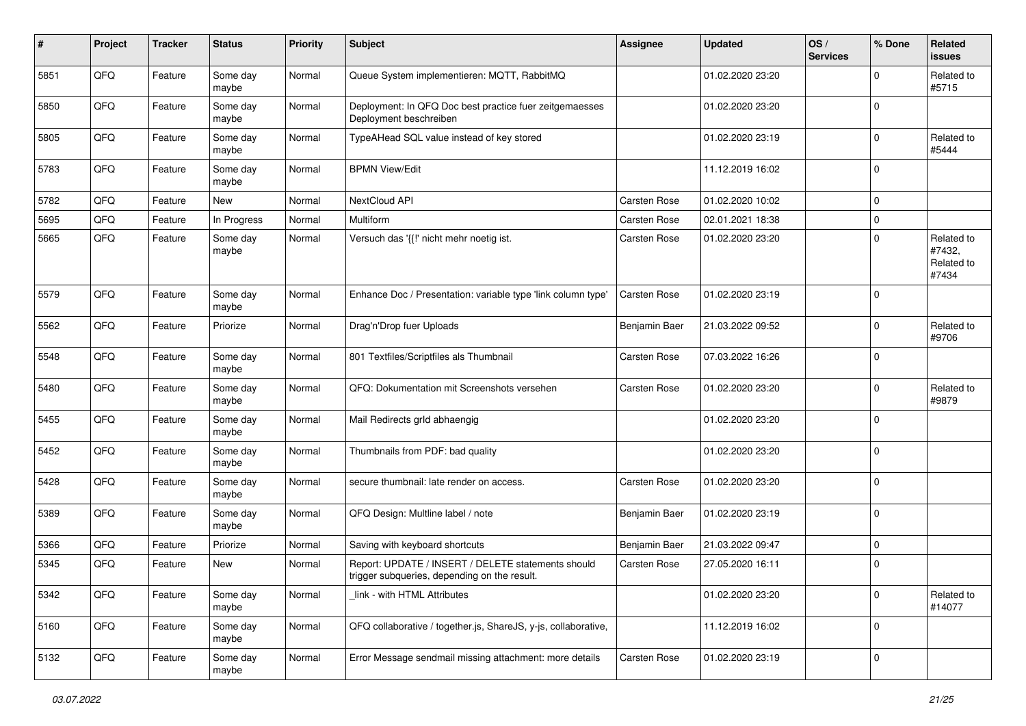| #    | Project | <b>Tracker</b> | <b>Status</b>     | <b>Priority</b> | <b>Subject</b>                                                                                     | Assignee            | <b>Updated</b>   | OS/<br><b>Services</b> | % Done      | Related<br>issues                           |
|------|---------|----------------|-------------------|-----------------|----------------------------------------------------------------------------------------------------|---------------------|------------------|------------------------|-------------|---------------------------------------------|
| 5851 | QFQ     | Feature        | Some day<br>maybe | Normal          | Queue System implementieren: MQTT, RabbitMQ                                                        |                     | 01.02.2020 23:20 |                        | $\Omega$    | Related to<br>#5715                         |
| 5850 | QFQ     | Feature        | Some day<br>maybe | Normal          | Deployment: In QFQ Doc best practice fuer zeitgemaesses<br>Deployment beschreiben                  |                     | 01.02.2020 23:20 |                        | $\mathbf 0$ |                                             |
| 5805 | QFQ     | Feature        | Some day<br>maybe | Normal          | TypeAHead SQL value instead of key stored                                                          |                     | 01.02.2020 23:19 |                        | $\mathbf 0$ | Related to<br>#5444                         |
| 5783 | QFQ     | Feature        | Some day<br>maybe | Normal          | <b>BPMN View/Edit</b>                                                                              |                     | 11.12.2019 16:02 |                        | $\mathbf 0$ |                                             |
| 5782 | QFQ     | Feature        | New               | Normal          | NextCloud API                                                                                      | <b>Carsten Rose</b> | 01.02.2020 10:02 |                        | $\mathbf 0$ |                                             |
| 5695 | QFQ     | Feature        | In Progress       | Normal          | Multiform                                                                                          | Carsten Rose        | 02.01.2021 18:38 |                        | $\mathbf 0$ |                                             |
| 5665 | QFQ     | Feature        | Some day<br>maybe | Normal          | Versuch das '{{!' nicht mehr noetig ist.                                                           | Carsten Rose        | 01.02.2020 23:20 |                        | $\mathbf 0$ | Related to<br>#7432,<br>Related to<br>#7434 |
| 5579 | QFQ     | Feature        | Some day<br>maybe | Normal          | Enhance Doc / Presentation: variable type 'link column type'                                       | <b>Carsten Rose</b> | 01.02.2020 23:19 |                        | $\mathbf 0$ |                                             |
| 5562 | QFQ     | Feature        | Priorize          | Normal          | Drag'n'Drop fuer Uploads                                                                           | Benjamin Baer       | 21.03.2022 09:52 |                        | $\mathbf 0$ | Related to<br>#9706                         |
| 5548 | QFQ     | Feature        | Some day<br>maybe | Normal          | 801 Textfiles/Scriptfiles als Thumbnail                                                            | Carsten Rose        | 07.03.2022 16:26 |                        | $\mathbf 0$ |                                             |
| 5480 | QFQ     | Feature        | Some day<br>maybe | Normal          | QFQ: Dokumentation mit Screenshots versehen                                                        | Carsten Rose        | 01.02.2020 23:20 |                        | $\mathbf 0$ | Related to<br>#9879                         |
| 5455 | QFQ     | Feature        | Some day<br>maybe | Normal          | Mail Redirects grld abhaengig                                                                      |                     | 01.02.2020 23:20 |                        | $\mathbf 0$ |                                             |
| 5452 | QFQ     | Feature        | Some day<br>maybe | Normal          | Thumbnails from PDF: bad quality                                                                   |                     | 01.02.2020 23:20 |                        | $\mathbf 0$ |                                             |
| 5428 | QFQ     | Feature        | Some day<br>maybe | Normal          | secure thumbnail: late render on access.                                                           | Carsten Rose        | 01.02.2020 23:20 |                        | $\mathbf 0$ |                                             |
| 5389 | QFQ     | Feature        | Some day<br>maybe | Normal          | QFQ Design: Multline label / note                                                                  | Benjamin Baer       | 01.02.2020 23:19 |                        | $\mathbf 0$ |                                             |
| 5366 | QFQ     | Feature        | Priorize          | Normal          | Saving with keyboard shortcuts                                                                     | Benjamin Baer       | 21.03.2022 09:47 |                        | $\mathbf 0$ |                                             |
| 5345 | QFQ     | Feature        | New               | Normal          | Report: UPDATE / INSERT / DELETE statements should<br>trigger subqueries, depending on the result. | Carsten Rose        | 27.05.2020 16:11 |                        | $\mathbf 0$ |                                             |
| 5342 | QFQ     | Feature        | Some day<br>maybe | Normal          | link - with HTML Attributes                                                                        |                     | 01.02.2020 23:20 |                        | $\mathbf 0$ | Related to<br>#14077                        |
| 5160 | QFQ     | Feature        | Some day<br>maybe | Normal          | QFQ collaborative / together.js, ShareJS, y-js, collaborative,                                     |                     | 11.12.2019 16:02 |                        | $\mathbf 0$ |                                             |
| 5132 | QFQ     | Feature        | Some day<br>maybe | Normal          | Error Message sendmail missing attachment: more details                                            | Carsten Rose        | 01.02.2020 23:19 |                        | $\mathbf 0$ |                                             |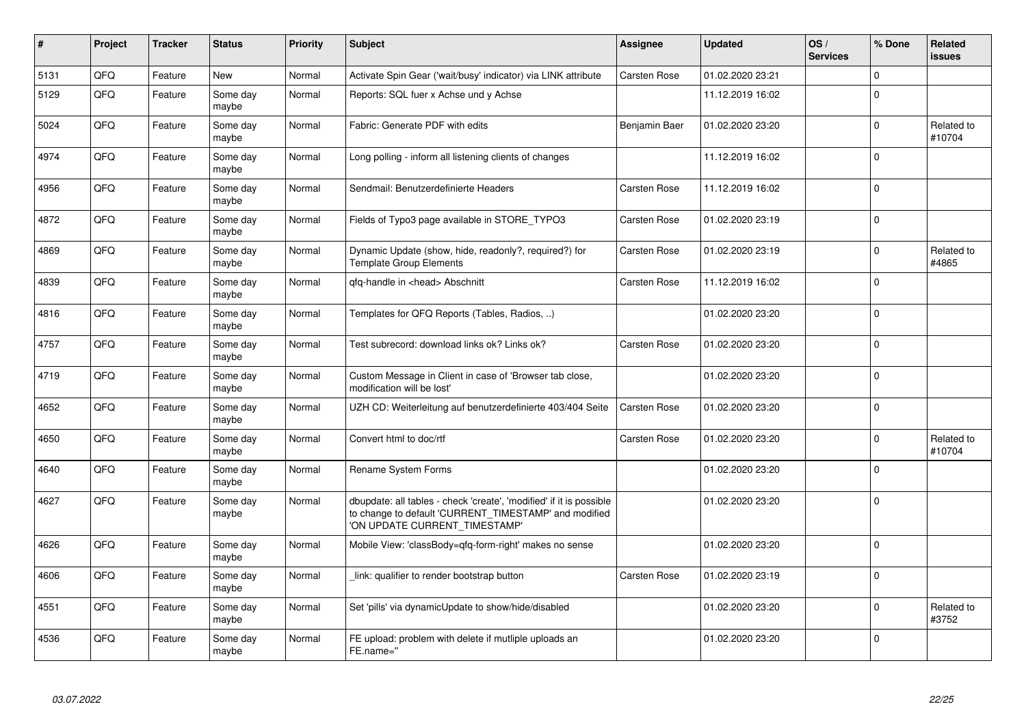| #    | Project    | <b>Tracker</b> | <b>Status</b>     | <b>Priority</b> | <b>Subject</b>                                                                                                                                                | <b>Assignee</b>     | <b>Updated</b>   | OS/<br><b>Services</b> | % Done      | Related<br><b>issues</b> |
|------|------------|----------------|-------------------|-----------------|---------------------------------------------------------------------------------------------------------------------------------------------------------------|---------------------|------------------|------------------------|-------------|--------------------------|
| 5131 | QFQ        | Feature        | <b>New</b>        | Normal          | Activate Spin Gear ('wait/busy' indicator) via LINK attribute                                                                                                 | <b>Carsten Rose</b> | 01.02.2020 23:21 |                        | $\Omega$    |                          |
| 5129 | QFQ        | Feature        | Some day<br>maybe | Normal          | Reports: SQL fuer x Achse und y Achse                                                                                                                         |                     | 11.12.2019 16:02 |                        | $\Omega$    |                          |
| 5024 | QFQ        | Feature        | Some day<br>maybe | Normal          | Fabric: Generate PDF with edits                                                                                                                               | Benjamin Baer       | 01.02.2020 23:20 |                        | $\Omega$    | Related to<br>#10704     |
| 4974 | QFQ        | Feature        | Some day<br>maybe | Normal          | Long polling - inform all listening clients of changes                                                                                                        |                     | 11.12.2019 16:02 |                        | $\mathbf 0$ |                          |
| 4956 | QFQ        | Feature        | Some day<br>maybe | Normal          | Sendmail: Benutzerdefinierte Headers                                                                                                                          | Carsten Rose        | 11.12.2019 16:02 |                        | $\mathbf 0$ |                          |
| 4872 | <b>OFO</b> | Feature        | Some day<br>maybe | Normal          | Fields of Typo3 page available in STORE_TYPO3                                                                                                                 | Carsten Rose        | 01.02.2020 23:19 |                        | $\Omega$    |                          |
| 4869 | QFQ        | Feature        | Some day<br>maybe | Normal          | Dynamic Update (show, hide, readonly?, required?) for<br><b>Template Group Elements</b>                                                                       | Carsten Rose        | 01.02.2020 23:19 |                        | $\Omega$    | Related to<br>#4865      |
| 4839 | QFQ        | Feature        | Some day<br>maybe | Normal          | gfg-handle in <head> Abschnitt</head>                                                                                                                         | <b>Carsten Rose</b> | 11.12.2019 16:02 |                        | $\mathbf 0$ |                          |
| 4816 | QFQ        | Feature        | Some day<br>maybe | Normal          | Templates for QFQ Reports (Tables, Radios, )                                                                                                                  |                     | 01.02.2020 23:20 |                        | $\mathbf 0$ |                          |
| 4757 | QFQ        | Feature        | Some day<br>maybe | Normal          | Test subrecord: download links ok? Links ok?                                                                                                                  | <b>Carsten Rose</b> | 01.02.2020 23:20 |                        | $\Omega$    |                          |
| 4719 | QFQ        | Feature        | Some day<br>maybe | Normal          | Custom Message in Client in case of 'Browser tab close,<br>modification will be lost'                                                                         |                     | 01.02.2020 23:20 |                        | $\mathbf 0$ |                          |
| 4652 | QFQ        | Feature        | Some day<br>maybe | Normal          | UZH CD: Weiterleitung auf benutzerdefinierte 403/404 Seite                                                                                                    | Carsten Rose        | 01.02.2020 23:20 |                        | $\mathbf 0$ |                          |
| 4650 | QFQ        | Feature        | Some day<br>maybe | Normal          | Convert html to doc/rtf                                                                                                                                       | Carsten Rose        | 01.02.2020 23:20 |                        | $\Omega$    | Related to<br>#10704     |
| 4640 | QFQ        | Feature        | Some day<br>maybe | Normal          | Rename System Forms                                                                                                                                           |                     | 01.02.2020 23:20 |                        | $\mathbf 0$ |                          |
| 4627 | QFQ        | Feature        | Some day<br>maybe | Normal          | dbupdate: all tables - check 'create', 'modified' if it is possible<br>to change to default 'CURRENT_TIMESTAMP' and modified<br>'ON UPDATE CURRENT_TIMESTAMP' |                     | 01.02.2020 23:20 |                        | $\mathbf 0$ |                          |
| 4626 | QFQ        | Feature        | Some day<br>maybe | Normal          | Mobile View: 'classBody=qfq-form-right' makes no sense                                                                                                        |                     | 01.02.2020 23:20 |                        | $\Omega$    |                          |
| 4606 | QFQ        | Feature        | Some day<br>maybe | Normal          | link: qualifier to render bootstrap button                                                                                                                    | <b>Carsten Rose</b> | 01.02.2020 23:19 |                        | $\mathbf 0$ |                          |
| 4551 | QFQ        | Feature        | Some day<br>maybe | Normal          | Set 'pills' via dynamicUpdate to show/hide/disabled                                                                                                           |                     | 01.02.2020 23:20 |                        | $\Omega$    | Related to<br>#3752      |
| 4536 | QFQ        | Feature        | Some day<br>maybe | Normal          | FE upload: problem with delete if mutliple uploads an<br>FE.name="                                                                                            |                     | 01.02.2020 23:20 |                        | $\Omega$    |                          |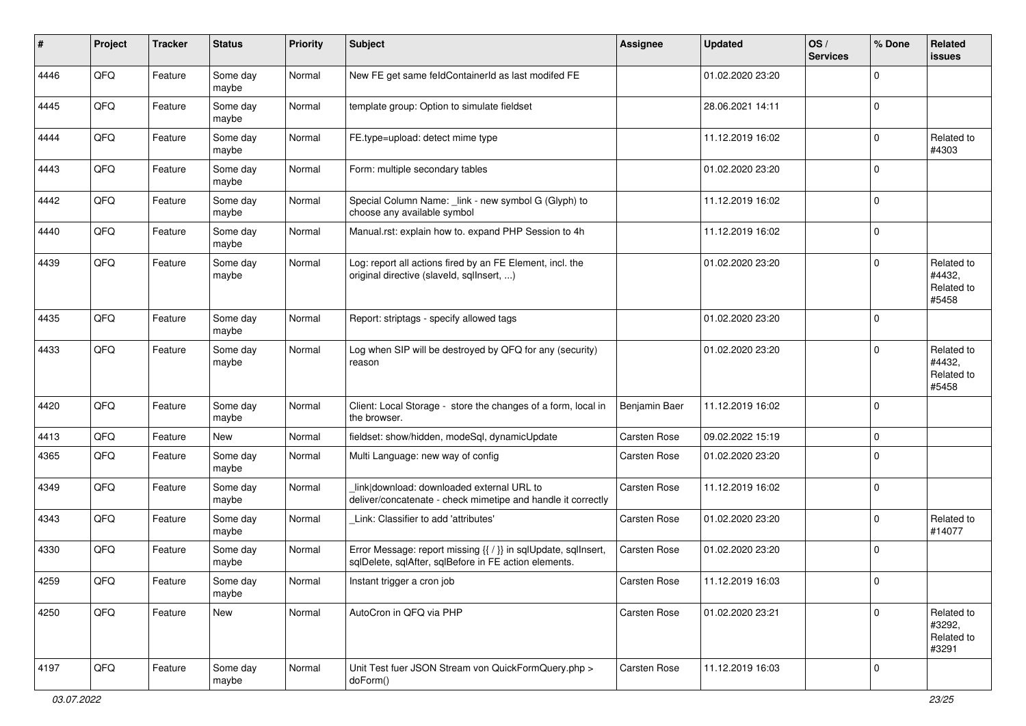| $\#$ | Project | <b>Tracker</b> | <b>Status</b>     | <b>Priority</b> | <b>Subject</b>                                                                                                          | <b>Assignee</b> | <b>Updated</b>   | OS/<br><b>Services</b> | % Done      | Related<br><b>issues</b>                    |
|------|---------|----------------|-------------------|-----------------|-------------------------------------------------------------------------------------------------------------------------|-----------------|------------------|------------------------|-------------|---------------------------------------------|
| 4446 | QFQ     | Feature        | Some day<br>maybe | Normal          | New FE get same feldContainerId as last modifed FE                                                                      |                 | 01.02.2020 23:20 |                        | $\Omega$    |                                             |
| 4445 | QFQ     | Feature        | Some day<br>maybe | Normal          | template group: Option to simulate fieldset                                                                             |                 | 28.06.2021 14:11 |                        | 0           |                                             |
| 4444 | QFQ     | Feature        | Some day<br>maybe | Normal          | FE.type=upload: detect mime type                                                                                        |                 | 11.12.2019 16:02 |                        | $\Omega$    | Related to<br>#4303                         |
| 4443 | QFQ     | Feature        | Some day<br>maybe | Normal          | Form: multiple secondary tables                                                                                         |                 | 01.02.2020 23:20 |                        | $\mathbf 0$ |                                             |
| 4442 | QFQ     | Feature        | Some day<br>maybe | Normal          | Special Column Name: _link - new symbol G (Glyph) to<br>choose any available symbol                                     |                 | 11.12.2019 16:02 |                        | $\mathbf 0$ |                                             |
| 4440 | QFQ     | Feature        | Some day<br>maybe | Normal          | Manual.rst: explain how to. expand PHP Session to 4h                                                                    |                 | 11.12.2019 16:02 |                        | $\mathbf 0$ |                                             |
| 4439 | QFQ     | Feature        | Some day<br>maybe | Normal          | Log: report all actions fired by an FE Element, incl. the<br>original directive (slaveld, sqllnsert, )                  |                 | 01.02.2020 23:20 |                        | $\Omega$    | Related to<br>#4432,<br>Related to<br>#5458 |
| 4435 | QFQ     | Feature        | Some day<br>maybe | Normal          | Report: striptags - specify allowed tags                                                                                |                 | 01.02.2020 23:20 |                        | 0           |                                             |
| 4433 | QFQ     | Feature        | Some day<br>maybe | Normal          | Log when SIP will be destroyed by QFQ for any (security)<br>reason                                                      |                 | 01.02.2020 23:20 |                        | $\Omega$    | Related to<br>#4432,<br>Related to<br>#5458 |
| 4420 | QFQ     | Feature        | Some day<br>maybe | Normal          | Client: Local Storage - store the changes of a form, local in<br>the browser.                                           | Benjamin Baer   | 11.12.2019 16:02 |                        | $\Omega$    |                                             |
| 4413 | QFQ     | Feature        | New               | Normal          | fieldset: show/hidden, modeSql, dynamicUpdate                                                                           | Carsten Rose    | 09.02.2022 15:19 |                        | $\mathbf 0$ |                                             |
| 4365 | QFQ     | Feature        | Some day<br>maybe | Normal          | Multi Language: new way of config                                                                                       | Carsten Rose    | 01.02.2020 23:20 |                        | $\mathbf 0$ |                                             |
| 4349 | QFQ     | Feature        | Some day<br>maybe | Normal          | link download: downloaded external URL to<br>deliver/concatenate - check mimetipe and handle it correctly               | Carsten Rose    | 11.12.2019 16:02 |                        | 0           |                                             |
| 4343 | QFQ     | Feature        | Some day<br>maybe | Normal          | Link: Classifier to add 'attributes'                                                                                    | Carsten Rose    | 01.02.2020 23:20 |                        | $\Omega$    | Related to<br>#14077                        |
| 4330 | QFQ     | Feature        | Some day<br>maybe | Normal          | Error Message: report missing {{ / }} in sqlUpdate, sqlInsert,<br>sqlDelete, sqlAfter, sqlBefore in FE action elements. | Carsten Rose    | 01.02.2020 23:20 |                        | $\Omega$    |                                             |
| 4259 | QFQ     | Feature        | Some day<br>maybe | Normal          | Instant trigger a cron job                                                                                              | Carsten Rose    | 11.12.2019 16:03 |                        | $\mathbf 0$ |                                             |
| 4250 | QFQ     | Feature        | New               | Normal          | AutoCron in QFQ via PHP                                                                                                 | Carsten Rose    | 01.02.2020 23:21 |                        | $\mathbf 0$ | Related to<br>#3292,<br>Related to<br>#3291 |
| 4197 | QFQ     | Feature        | Some day<br>maybe | Normal          | Unit Test fuer JSON Stream von QuickFormQuery.php ><br>doForm()                                                         | Carsten Rose    | 11.12.2019 16:03 |                        | 0           |                                             |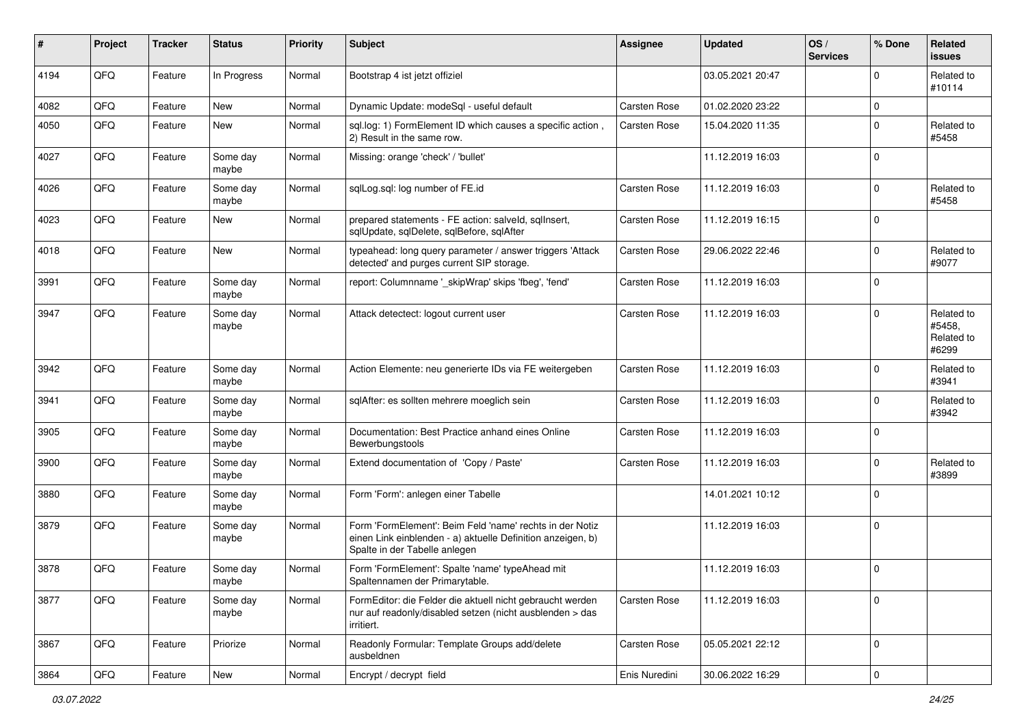| #    | Project | <b>Tracker</b> | <b>Status</b>     | <b>Priority</b> | <b>Subject</b>                                                                                                                                           | Assignee      | <b>Updated</b>   | OS/<br><b>Services</b> | % Done      | Related<br><b>issues</b>                    |
|------|---------|----------------|-------------------|-----------------|----------------------------------------------------------------------------------------------------------------------------------------------------------|---------------|------------------|------------------------|-------------|---------------------------------------------|
| 4194 | QFQ     | Feature        | In Progress       | Normal          | Bootstrap 4 ist jetzt offiziel                                                                                                                           |               | 03.05.2021 20:47 |                        | $\Omega$    | Related to<br>#10114                        |
| 4082 | QFQ     | Feature        | <b>New</b>        | Normal          | Dynamic Update: modeSql - useful default                                                                                                                 | Carsten Rose  | 01.02.2020 23:22 |                        | $\Omega$    |                                             |
| 4050 | QFQ     | Feature        | New               | Normal          | sql.log: 1) FormElement ID which causes a specific action,<br>2) Result in the same row.                                                                 | Carsten Rose  | 15.04.2020 11:35 |                        | $\Omega$    | Related to<br>#5458                         |
| 4027 | QFQ     | Feature        | Some day<br>maybe | Normal          | Missing: orange 'check' / 'bullet'                                                                                                                       |               | 11.12.2019 16:03 |                        | $\Omega$    |                                             |
| 4026 | QFQ     | Feature        | Some day<br>maybe | Normal          | sqlLog.sql: log number of FE.id                                                                                                                          | Carsten Rose  | 11.12.2019 16:03 |                        | $\mathbf 0$ | Related to<br>#5458                         |
| 4023 | QFQ     | Feature        | New               | Normal          | prepared statements - FE action: salveld, sqllnsert,<br>sqlUpdate, sqlDelete, sqlBefore, sqlAfter                                                        | Carsten Rose  | 11.12.2019 16:15 |                        | $\Omega$    |                                             |
| 4018 | QFQ     | Feature        | New               | Normal          | typeahead: long query parameter / answer triggers 'Attack<br>detected' and purges current SIP storage.                                                   | Carsten Rose  | 29.06.2022 22:46 |                        | $\Omega$    | Related to<br>#9077                         |
| 3991 | QFQ     | Feature        | Some day<br>maybe | Normal          | report: Columnname ' skipWrap' skips 'fbeg', 'fend'                                                                                                      | Carsten Rose  | 11.12.2019 16:03 |                        | $\Omega$    |                                             |
| 3947 | QFQ     | Feature        | Some day<br>maybe | Normal          | Attack detectect: logout current user                                                                                                                    | Carsten Rose  | 11.12.2019 16:03 |                        | $\Omega$    | Related to<br>#5458,<br>Related to<br>#6299 |
| 3942 | QFQ     | Feature        | Some day<br>maybe | Normal          | Action Elemente: neu generierte IDs via FE weitergeben                                                                                                   | Carsten Rose  | 11.12.2019 16:03 |                        | $\Omega$    | Related to<br>#3941                         |
| 3941 | QFQ     | Feature        | Some day<br>maybe | Normal          | sqlAfter: es sollten mehrere moeglich sein                                                                                                               | Carsten Rose  | 11.12.2019 16:03 |                        | $\mathbf 0$ | Related to<br>#3942                         |
| 3905 | QFQ     | Feature        | Some day<br>maybe | Normal          | Documentation: Best Practice anhand eines Online<br>Bewerbungstools                                                                                      | Carsten Rose  | 11.12.2019 16:03 |                        | $\Omega$    |                                             |
| 3900 | QFQ     | Feature        | Some day<br>maybe | Normal          | Extend documentation of 'Copy / Paste'                                                                                                                   | Carsten Rose  | 11.12.2019 16:03 |                        | $\Omega$    | Related to<br>#3899                         |
| 3880 | QFQ     | Feature        | Some day<br>maybe | Normal          | Form 'Form': anlegen einer Tabelle                                                                                                                       |               | 14.01.2021 10:12 |                        | $\Omega$    |                                             |
| 3879 | QFQ     | Feature        | Some day<br>maybe | Normal          | Form 'FormElement': Beim Feld 'name' rechts in der Notiz<br>einen Link einblenden - a) aktuelle Definition anzeigen, b)<br>Spalte in der Tabelle anlegen |               | 11.12.2019 16:03 |                        | $\Omega$    |                                             |
| 3878 | QFQ     | Feature        | Some day<br>maybe | Normal          | Form 'FormElement': Spalte 'name' typeAhead mit<br>Spaltennamen der Primarytable.                                                                        |               | 11.12.2019 16:03 |                        | $\Omega$    |                                             |
| 3877 | QFQ     | Feature        | Some day<br>maybe | Normal          | FormEditor: die Felder die aktuell nicht gebraucht werden<br>nur auf readonly/disabled setzen (nicht ausblenden > das<br>irritiert.                      | Carsten Rose  | 11.12.2019 16:03 |                        | $\mathbf 0$ |                                             |
| 3867 | QFQ     | Feature        | Priorize          | Normal          | Readonly Formular: Template Groups add/delete<br>ausbeldnen                                                                                              | Carsten Rose  | 05.05.2021 22:12 |                        | $\mathbf 0$ |                                             |
| 3864 | QFQ     | Feature        | New               | Normal          | Encrypt / decrypt field                                                                                                                                  | Enis Nuredini | 30.06.2022 16:29 |                        | $\pmb{0}$   |                                             |